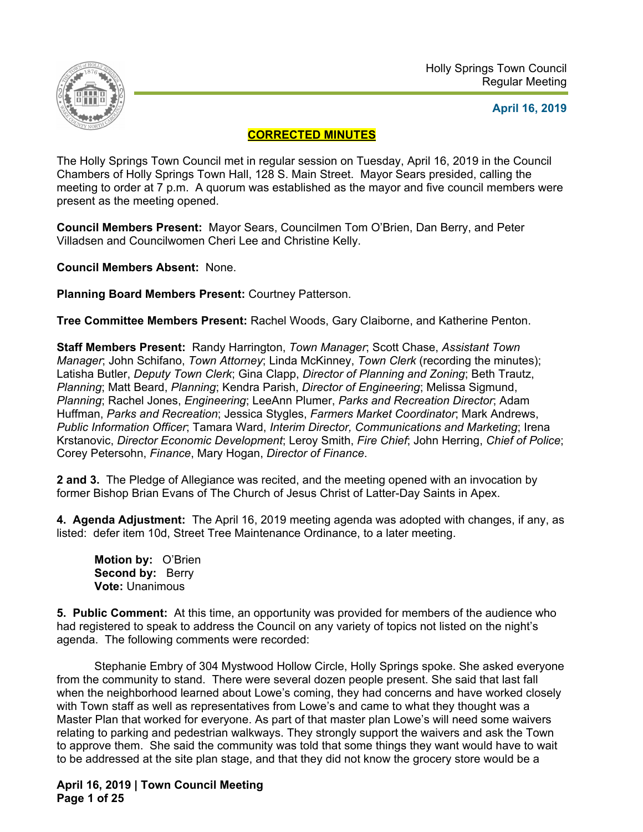

## **April 16, 2019**

# **CORRECTED MINUTES**

The Holly Springs Town Council met in regular session on Tuesday, April 16, 2019 in the Council Chambers of Holly Springs Town Hall, 128 S. Main Street. Mayor Sears presided, calling the meeting to order at 7 p.m. A quorum was established as the mayor and five council members were present as the meeting opened.

**Council Members Present:** Mayor Sears, Councilmen Tom O'Brien, Dan Berry, and Peter Villadsen and Councilwomen Cheri Lee and Christine Kelly.

**Council Members Absent:** None.

**Planning Board Members Present:** Courtney Patterson.

**Tree Committee Members Present:** Rachel Woods, Gary Claiborne, and Katherine Penton.

**Staff Members Present:** Randy Harrington, *Town Manager*; Scott Chase, *Assistant Town Manager*; John Schifano, *Town Attorney*; Linda McKinney, *Town Clerk* (recording the minutes); Latisha Butler, *Deputy Town Clerk*; Gina Clapp, *Director of Planning and Zoning*; Beth Trautz, *Planning*; Matt Beard, *Planning*; Kendra Parish, *Director of Engineering*; Melissa Sigmund, *Planning*; Rachel Jones, *Engineering*; LeeAnn Plumer, *Parks and Recreation Director*; Adam Huffman, *Parks and Recreation*; Jessica Stygles, *Farmers Market Coordinator*; Mark Andrews, *Public Information Officer*; Tamara Ward, *Interim Director, Communications and Marketing*; Irena Krstanovic, *Director Economic Development*; Leroy Smith, *Fire Chief*; John Herring, *Chief of Police*; Corey Petersohn, *Finance*, Mary Hogan, *Director of Finance*.

**2 and 3.** The Pledge of Allegiance was recited, and the meeting opened with an invocation by former Bishop Brian Evans of The Church of Jesus Christ of Latter-Day Saints in Apex.

**4. Agenda Adjustment:** The April 16, 2019 meeting agenda was adopted with changes, if any, as listed: defer item 10d, Street Tree Maintenance Ordinance, to a later meeting.

**Motion by:** O'Brien Second by: Berry **Vote:** Unanimous

**5. Public Comment:** At this time, an opportunity was provided for members of the audience who had registered to speak to address the Council on any variety of topics not listed on the night's agenda. The following comments were recorded:

 Stephanie Embry of 304 Mystwood Hollow Circle, Holly Springs spoke. She asked everyone from the community to stand. There were several dozen people present. She said that last fall when the neighborhood learned about Lowe's coming, they had concerns and have worked closely with Town staff as well as representatives from Lowe's and came to what they thought was a Master Plan that worked for everyone. As part of that master plan Lowe's will need some waivers relating to parking and pedestrian walkways. They strongly support the waivers and ask the Town to approve them. She said the community was told that some things they want would have to wait to be addressed at the site plan stage, and that they did not know the grocery store would be a

**April 16, 2019 | Town Council Meeting Page 1 of 25**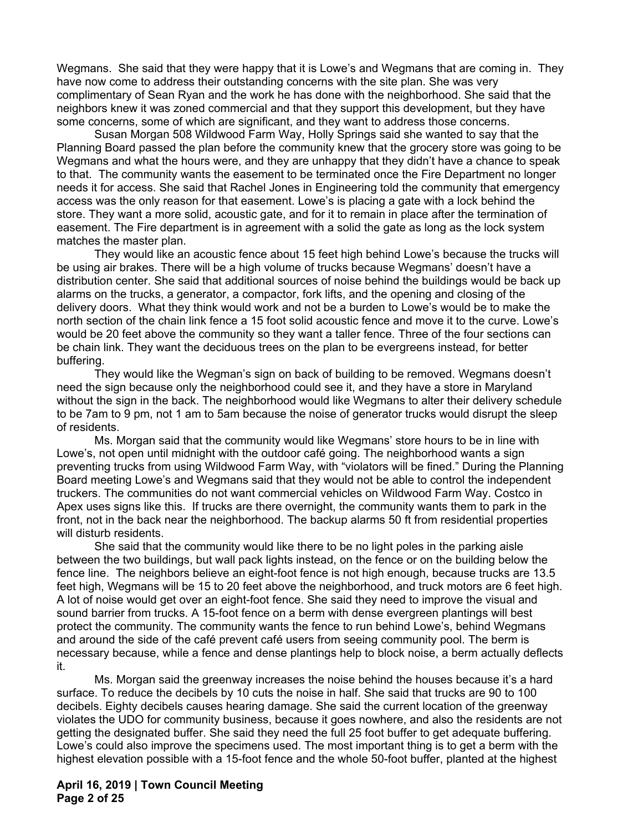Wegmans. She said that they were happy that it is Lowe's and Wegmans that are coming in. They have now come to address their outstanding concerns with the site plan. She was very complimentary of Sean Ryan and the work he has done with the neighborhood. She said that the neighbors knew it was zoned commercial and that they support this development, but they have some concerns, some of which are significant, and they want to address those concerns.

 Susan Morgan 508 Wildwood Farm Way, Holly Springs said she wanted to say that the Planning Board passed the plan before the community knew that the grocery store was going to be Wegmans and what the hours were, and they are unhappy that they didn't have a chance to speak to that. The community wants the easement to be terminated once the Fire Department no longer needs it for access. She said that Rachel Jones in Engineering told the community that emergency access was the only reason for that easement. Lowe's is placing a gate with a lock behind the store. They want a more solid, acoustic gate, and for it to remain in place after the termination of easement. The Fire department is in agreement with a solid the gate as long as the lock system matches the master plan.

 They would like an acoustic fence about 15 feet high behind Lowe's because the trucks will be using air brakes. There will be a high volume of trucks because Wegmans' doesn't have a distribution center. She said that additional sources of noise behind the buildings would be back up alarms on the trucks, a generator, a compactor, fork lifts, and the opening and closing of the delivery doors. What they think would work and not be a burden to Lowe's would be to make the north section of the chain link fence a 15 foot solid acoustic fence and move it to the curve. Lowe's would be 20 feet above the community so they want a taller fence. Three of the four sections can be chain link. They want the deciduous trees on the plan to be evergreens instead, for better buffering.

 They would like the Wegman's sign on back of building to be removed. Wegmans doesn't need the sign because only the neighborhood could see it, and they have a store in Maryland without the sign in the back. The neighborhood would like Wegmans to alter their delivery schedule to be 7am to 9 pm, not 1 am to 5am because the noise of generator trucks would disrupt the sleep of residents.

 Ms. Morgan said that the community would like Wegmans' store hours to be in line with Lowe's, not open until midnight with the outdoor café going. The neighborhood wants a sign preventing trucks from using Wildwood Farm Way, with "violators will be fined." During the Planning Board meeting Lowe's and Wegmans said that they would not be able to control the independent truckers. The communities do not want commercial vehicles on Wildwood Farm Way. Costco in Apex uses signs like this. If trucks are there overnight, the community wants them to park in the front, not in the back near the neighborhood. The backup alarms 50 ft from residential properties will disturb residents.

 She said that the community would like there to be no light poles in the parking aisle between the two buildings, but wall pack lights instead, on the fence or on the building below the fence line. The neighbors believe an eight-foot fence is not high enough, because trucks are 13.5 feet high, Wegmans will be 15 to 20 feet above the neighborhood, and truck motors are 6 feet high. A lot of noise would get over an eight-foot fence. She said they need to improve the visual and sound barrier from trucks. A 15-foot fence on a berm with dense evergreen plantings will best protect the community. The community wants the fence to run behind Lowe's, behind Wegmans and around the side of the café prevent café users from seeing community pool. The berm is necessary because, while a fence and dense plantings help to block noise, a berm actually deflects it.

 Ms. Morgan said the greenway increases the noise behind the houses because it's a hard surface. To reduce the decibels by 10 cuts the noise in half. She said that trucks are 90 to 100 decibels. Eighty decibels causes hearing damage. She said the current location of the greenway violates the UDO for community business, because it goes nowhere, and also the residents are not getting the designated buffer. She said they need the full 25 foot buffer to get adequate buffering. Lowe's could also improve the specimens used. The most important thing is to get a berm with the highest elevation possible with a 15-foot fence and the whole 50-foot buffer, planted at the highest

**April 16, 2019 | Town Council Meeting Page 2 of 25**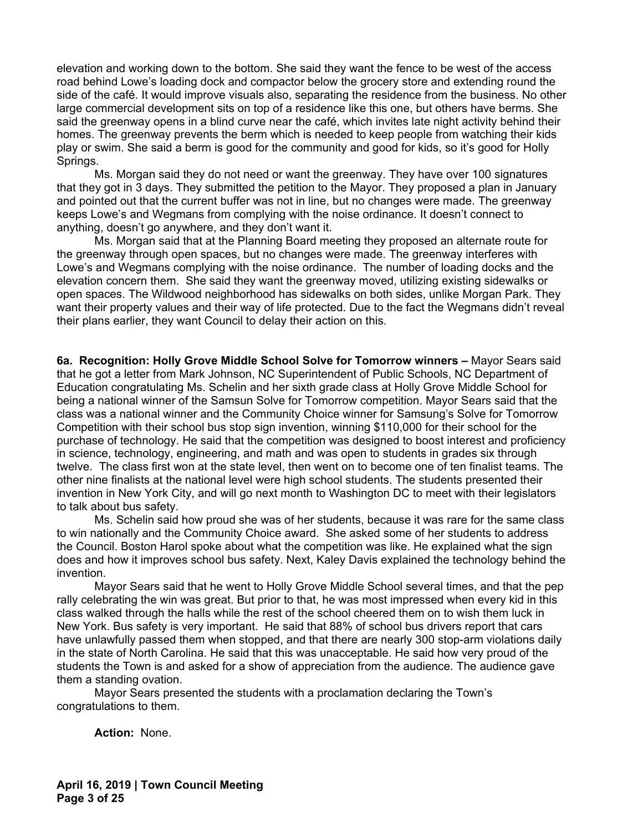elevation and working down to the bottom. She said they want the fence to be west of the access road behind Lowe's loading dock and compactor below the grocery store and extending round the side of the café. It would improve visuals also, separating the residence from the business. No other large commercial development sits on top of a residence like this one, but others have berms. She said the greenway opens in a blind curve near the café, which invites late night activity behind their homes. The greenway prevents the berm which is needed to keep people from watching their kids play or swim. She said a berm is good for the community and good for kids, so it's good for Holly Springs.

 Ms. Morgan said they do not need or want the greenway. They have over 100 signatures that they got in 3 days. They submitted the petition to the Mayor. They proposed a plan in January and pointed out that the current buffer was not in line, but no changes were made. The greenway keeps Lowe's and Wegmans from complying with the noise ordinance. It doesn't connect to anything, doesn't go anywhere, and they don't want it.

 Ms. Morgan said that at the Planning Board meeting they proposed an alternate route for the greenway through open spaces, but no changes were made. The greenway interferes with Lowe's and Wegmans complying with the noise ordinance. The number of loading docks and the elevation concern them. She said they want the greenway moved, utilizing existing sidewalks or open spaces. The Wildwood neighborhood has sidewalks on both sides, unlike Morgan Park. They want their property values and their way of life protected. Due to the fact the Wegmans didn't reveal their plans earlier, they want Council to delay their action on this.

**6a. Recognition: Holly Grove Middle School Solve for Tomorrow winners –** Mayor Sears said that he got a letter from Mark Johnson, NC Superintendent of Public Schools, NC Department of Education congratulating Ms. Schelin and her sixth grade class at Holly Grove Middle School for being a national winner of the Samsun Solve for Tomorrow competition. Mayor Sears said that the class was a national winner and the Community Choice winner for Samsung's Solve for Tomorrow Competition with their school bus stop sign invention, winning \$110,000 for their school for the purchase of technology. He said that the competition was designed to boost interest and proficiency in science, technology, engineering, and math and was open to students in grades six through twelve. The class first won at the state level, then went on to become one of ten finalist teams. The other nine finalists at the national level were high school students. The students presented their invention in New York City, and will go next month to Washington DC to meet with their legislators to talk about bus safety.

 Ms. Schelin said how proud she was of her students, because it was rare for the same class to win nationally and the Community Choice award. She asked some of her students to address the Council. Boston Harol spoke about what the competition was like. He explained what the sign does and how it improves school bus safety. Next, Kaley Davis explained the technology behind the invention.

 Mayor Sears said that he went to Holly Grove Middle School several times, and that the pep rally celebrating the win was great. But prior to that, he was most impressed when every kid in this class walked through the halls while the rest of the school cheered them on to wish them luck in New York. Bus safety is very important. He said that 88% of school bus drivers report that cars have unlawfully passed them when stopped, and that there are nearly 300 stop-arm violations daily in the state of North Carolina. He said that this was unacceptable. He said how very proud of the students the Town is and asked for a show of appreciation from the audience. The audience gave them a standing ovation.

 Mayor Sears presented the students with a proclamation declaring the Town's congratulations to them.

**Action:** None.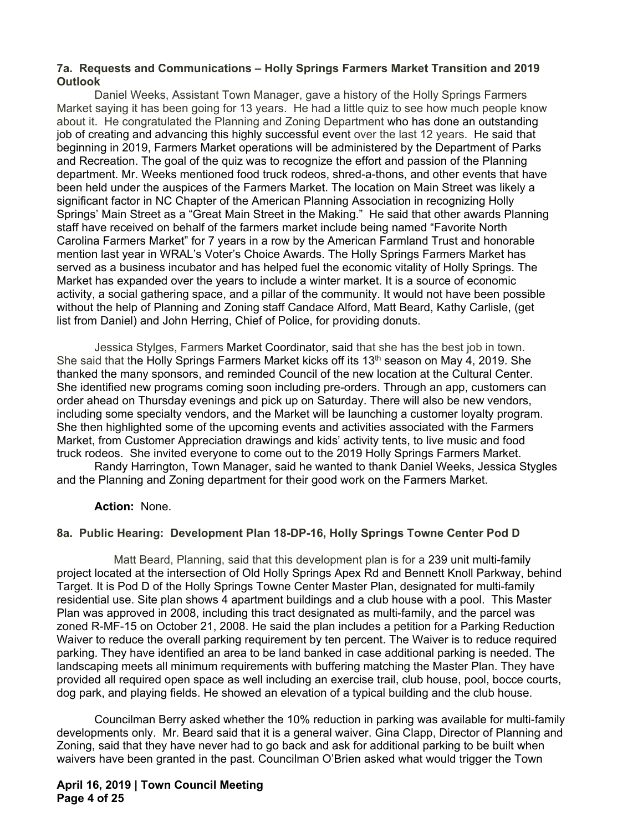### **7a. Requests and Communications – Holly Springs Farmers Market Transition and 2019 Outlook**

Daniel Weeks, Assistant Town Manager, gave a history of the Holly Springs Farmers Market saying it has been going for 13 years. He had a little quiz to see how much people know about it. He congratulated the Planning and Zoning Department who has done an outstanding job of creating and advancing this highly successful event over the last 12 years. He said that beginning in 2019, Farmers Market operations will be administered by the Department of Parks and Recreation. The goal of the quiz was to recognize the effort and passion of the Planning department. Mr. Weeks mentioned food truck rodeos, shred-a-thons, and other events that have been held under the auspices of the Farmers Market. The location on Main Street was likely a significant factor in NC Chapter of the American Planning Association in recognizing Holly Springs' Main Street as a "Great Main Street in the Making." He said that other awards Planning staff have received on behalf of the farmers market include being named "Favorite North Carolina Farmers Market" for 7 years in a row by the American Farmland Trust and honorable mention last year in WRAL's Voter's Choice Awards. The Holly Springs Farmers Market has served as a business incubator and has helped fuel the economic vitality of Holly Springs. The Market has expanded over the years to include a winter market. It is a source of economic activity, a social gathering space, and a pillar of the community. It would not have been possible without the help of Planning and Zoning staff Candace Alford, Matt Beard, Kathy Carlisle, (get list from Daniel) and John Herring, Chief of Police, for providing donuts.

Jessica Stylges, Farmers Market Coordinator, said that she has the best job in town. She said that the Holly Springs Farmers Market kicks off its 13<sup>th</sup> season on May 4, 2019. She thanked the many sponsors, and reminded Council of the new location at the Cultural Center. She identified new programs coming soon including pre-orders. Through an app, customers can order ahead on Thursday evenings and pick up on Saturday. There will also be new vendors, including some specialty vendors, and the Market will be launching a customer loyalty program. She then highlighted some of the upcoming events and activities associated with the Farmers Market, from Customer Appreciation drawings and kids' activity tents, to live music and food truck rodeos. She invited everyone to come out to the 2019 Holly Springs Farmers Market.

Randy Harrington, Town Manager, said he wanted to thank Daniel Weeks, Jessica Stygles and the Planning and Zoning department for their good work on the Farmers Market.

#### **Action:** None.

## **8a. Public Hearing: Development Plan 18-DP-16, Holly Springs Towne Center Pod D**

 Matt Beard, Planning, said that this development plan is for a 239 unit multi-family project located at the intersection of Old Holly Springs Apex Rd and Bennett Knoll Parkway, behind Target. It is Pod D of the Holly Springs Towne Center Master Plan, designated for multi-family residential use. Site plan shows 4 apartment buildings and a club house with a pool. This Master Plan was approved in 2008, including this tract designated as multi-family, and the parcel was zoned R-MF-15 on October 21, 2008. He said the plan includes a petition for a Parking Reduction Waiver to reduce the overall parking requirement by ten percent. The Waiver is to reduce required parking. They have identified an area to be land banked in case additional parking is needed. The landscaping meets all minimum requirements with buffering matching the Master Plan. They have provided all required open space as well including an exercise trail, club house, pool, bocce courts, dog park, and playing fields. He showed an elevation of a typical building and the club house.

Councilman Berry asked whether the 10% reduction in parking was available for multi-family developments only. Mr. Beard said that it is a general waiver. Gina Clapp, Director of Planning and Zoning, said that they have never had to go back and ask for additional parking to be built when waivers have been granted in the past. Councilman O'Brien asked what would trigger the Town

**April 16, 2019 | Town Council Meeting Page 4 of 25**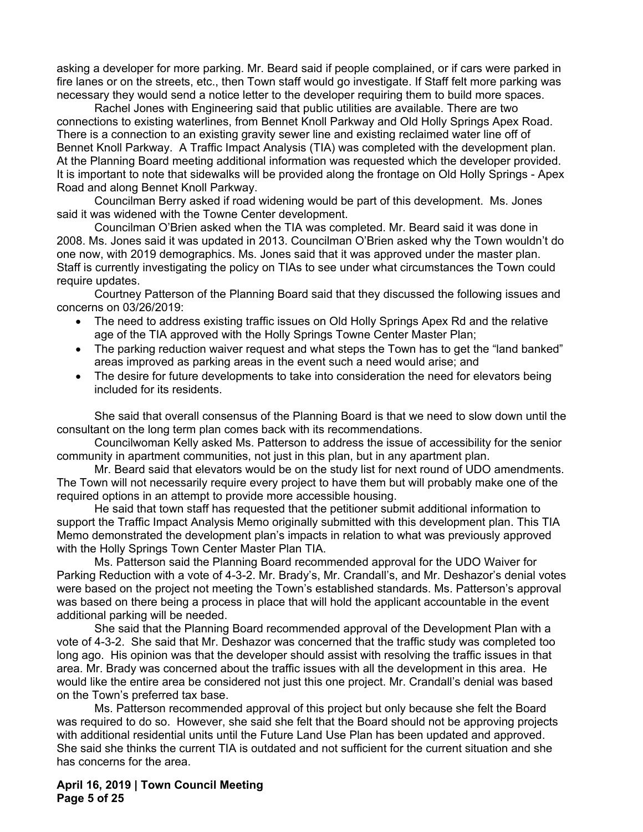asking a developer for more parking. Mr. Beard said if people complained, or if cars were parked in fire lanes or on the streets, etc., then Town staff would go investigate. If Staff felt more parking was necessary they would send a notice letter to the developer requiring them to build more spaces.

Rachel Jones with Engineering said that public utilities are available. There are two connections to existing waterlines, from Bennet Knoll Parkway and Old Holly Springs Apex Road. There is a connection to an existing gravity sewer line and existing reclaimed water line off of Bennet Knoll Parkway. A Traffic Impact Analysis (TIA) was completed with the development plan. At the Planning Board meeting additional information was requested which the developer provided. It is important to note that sidewalks will be provided along the frontage on Old Holly Springs - Apex Road and along Bennet Knoll Parkway.

Councilman Berry asked if road widening would be part of this development. Ms. Jones said it was widened with the Towne Center development.

Councilman O'Brien asked when the TIA was completed. Mr. Beard said it was done in 2008. Ms. Jones said it was updated in 2013. Councilman O'Brien asked why the Town wouldn't do one now, with 2019 demographics. Ms. Jones said that it was approved under the master plan. Staff is currently investigating the policy on TIAs to see under what circumstances the Town could require updates.

Courtney Patterson of the Planning Board said that they discussed the following issues and concerns on 03/26/2019:

- The need to address existing traffic issues on Old Holly Springs Apex Rd and the relative age of the TIA approved with the Holly Springs Towne Center Master Plan;
- The parking reduction waiver request and what steps the Town has to get the "land banked" areas improved as parking areas in the event such a need would arise; and
- The desire for future developments to take into consideration the need for elevators being included for its residents.

She said that overall consensus of the Planning Board is that we need to slow down until the consultant on the long term plan comes back with its recommendations.

Councilwoman Kelly asked Ms. Patterson to address the issue of accessibility for the senior community in apartment communities, not just in this plan, but in any apartment plan.

Mr. Beard said that elevators would be on the study list for next round of UDO amendments. The Town will not necessarily require every project to have them but will probably make one of the required options in an attempt to provide more accessible housing.

He said that town staff has requested that the petitioner submit additional information to support the Traffic Impact Analysis Memo originally submitted with this development plan. This TIA Memo demonstrated the development plan's impacts in relation to what was previously approved with the Holly Springs Town Center Master Plan TIA.

Ms. Patterson said the Planning Board recommended approval for the UDO Waiver for Parking Reduction with a vote of 4-3-2. Mr. Brady's, Mr. Crandall's, and Mr. Deshazor's denial votes were based on the project not meeting the Town's established standards. Ms. Patterson's approval was based on there being a process in place that will hold the applicant accountable in the event additional parking will be needed.

She said that the Planning Board recommended approval of the Development Plan with a vote of 4-3-2. She said that Mr. Deshazor was concerned that the traffic study was completed too long ago. His opinion was that the developer should assist with resolving the traffic issues in that area. Mr. Brady was concerned about the traffic issues with all the development in this area. He would like the entire area be considered not just this one project. Mr. Crandall's denial was based on the Town's preferred tax base.

Ms. Patterson recommended approval of this project but only because she felt the Board was required to do so. However, she said she felt that the Board should not be approving projects with additional residential units until the Future Land Use Plan has been updated and approved. She said she thinks the current TIA is outdated and not sufficient for the current situation and she has concerns for the area.

**April 16, 2019 | Town Council Meeting Page 5 of 25**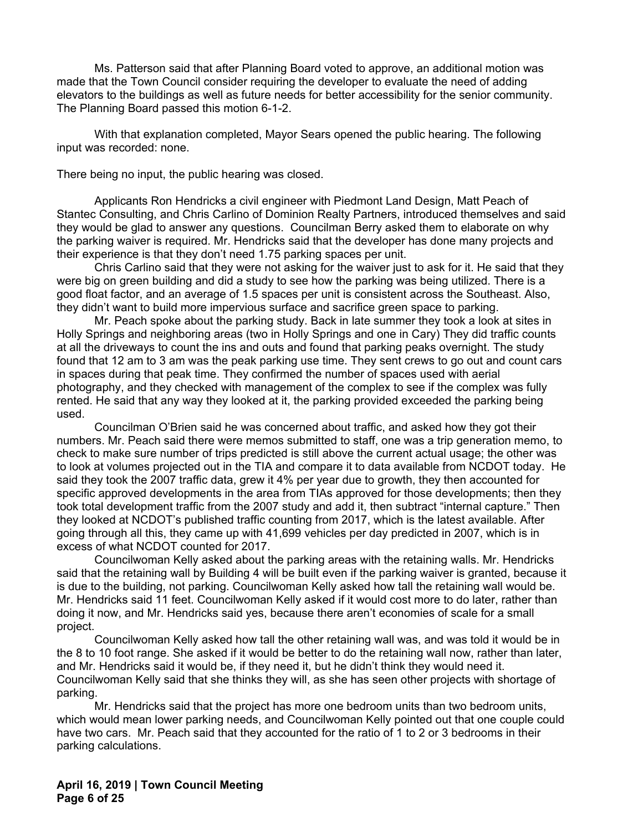Ms. Patterson said that after Planning Board voted to approve, an additional motion was made that the Town Council consider requiring the developer to evaluate the need of adding elevators to the buildings as well as future needs for better accessibility for the senior community. The Planning Board passed this motion 6-1-2.

With that explanation completed, Mayor Sears opened the public hearing. The following input was recorded: none.

There being no input, the public hearing was closed.

 Applicants Ron Hendricks a civil engineer with Piedmont Land Design, Matt Peach of Stantec Consulting, and Chris Carlino of Dominion Realty Partners, introduced themselves and said they would be glad to answer any questions. Councilman Berry asked them to elaborate on why the parking waiver is required. Mr. Hendricks said that the developer has done many projects and their experience is that they don't need 1.75 parking spaces per unit.

Chris Carlino said that they were not asking for the waiver just to ask for it. He said that they were big on green building and did a study to see how the parking was being utilized. There is a good float factor, and an average of 1.5 spaces per unit is consistent across the Southeast. Also, they didn't want to build more impervious surface and sacrifice green space to parking.

Mr. Peach spoke about the parking study. Back in late summer they took a look at sites in Holly Springs and neighboring areas (two in Holly Springs and one in Cary) They did traffic counts at all the driveways to count the ins and outs and found that parking peaks overnight. The study found that 12 am to 3 am was the peak parking use time. They sent crews to go out and count cars in spaces during that peak time. They confirmed the number of spaces used with aerial photography, and they checked with management of the complex to see if the complex was fully rented. He said that any way they looked at it, the parking provided exceeded the parking being used.

Councilman O'Brien said he was concerned about traffic, and asked how they got their numbers. Mr. Peach said there were memos submitted to staff, one was a trip generation memo, to check to make sure number of trips predicted is still above the current actual usage; the other was to look at volumes projected out in the TIA and compare it to data available from NCDOT today. He said they took the 2007 traffic data, grew it 4% per year due to growth, they then accounted for specific approved developments in the area from TIAs approved for those developments: then they took total development traffic from the 2007 study and add it, then subtract "internal capture." Then they looked at NCDOT's published traffic counting from 2017, which is the latest available. After going through all this, they came up with 41,699 vehicles per day predicted in 2007, which is in excess of what NCDOT counted for 2017.

Councilwoman Kelly asked about the parking areas with the retaining walls. Mr. Hendricks said that the retaining wall by Building 4 will be built even if the parking waiver is granted, because it is due to the building, not parking. Councilwoman Kelly asked how tall the retaining wall would be. Mr. Hendricks said 11 feet. Councilwoman Kelly asked if it would cost more to do later, rather than doing it now, and Mr. Hendricks said yes, because there aren't economies of scale for a small project.

Councilwoman Kelly asked how tall the other retaining wall was, and was told it would be in the 8 to 10 foot range. She asked if it would be better to do the retaining wall now, rather than later, and Mr. Hendricks said it would be, if they need it, but he didn't think they would need it. Councilwoman Kelly said that she thinks they will, as she has seen other projects with shortage of parking.

Mr. Hendricks said that the project has more one bedroom units than two bedroom units, which would mean lower parking needs, and Councilwoman Kelly pointed out that one couple could have two cars. Mr. Peach said that they accounted for the ratio of 1 to 2 or 3 bedrooms in their parking calculations.

**April 16, 2019 | Town Council Meeting Page 6 of 25**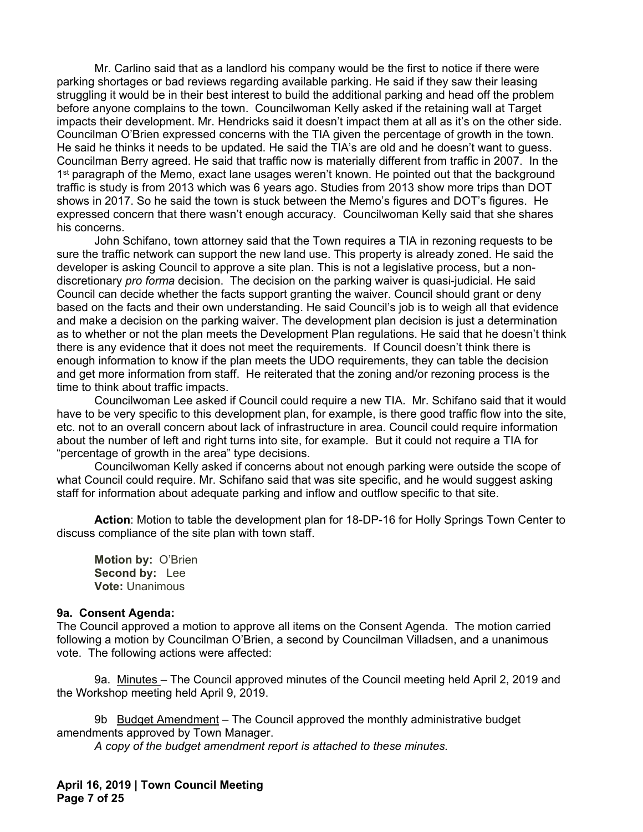Mr. Carlino said that as a landlord his company would be the first to notice if there were parking shortages or bad reviews regarding available parking. He said if they saw their leasing struggling it would be in their best interest to build the additional parking and head off the problem before anyone complains to the town. Councilwoman Kelly asked if the retaining wall at Target impacts their development. Mr. Hendricks said it doesn't impact them at all as it's on the other side. Councilman O'Brien expressed concerns with the TIA given the percentage of growth in the town. He said he thinks it needs to be updated. He said the TIA's are old and he doesn't want to guess. Councilman Berry agreed. He said that traffic now is materially different from traffic in 2007. In the 1<sup>st</sup> paragraph of the Memo, exact lane usages weren't known. He pointed out that the background traffic is study is from 2013 which was 6 years ago. Studies from 2013 show more trips than DOT shows in 2017. So he said the town is stuck between the Memo's figures and DOT's figures. He expressed concern that there wasn't enough accuracy. Councilwoman Kelly said that she shares his concerns.

John Schifano, town attorney said that the Town requires a TIA in rezoning requests to be sure the traffic network can support the new land use. This property is already zoned. He said the developer is asking Council to approve a site plan. This is not a legislative process, but a nondiscretionary *pro forma* decision. The decision on the parking waiver is quasi-judicial. He said Council can decide whether the facts support granting the waiver. Council should grant or deny based on the facts and their own understanding. He said Council's job is to weigh all that evidence and make a decision on the parking waiver. The development plan decision is just a determination as to whether or not the plan meets the Development Plan regulations. He said that he doesn't think there is any evidence that it does not meet the requirements. If Council doesn't think there is enough information to know if the plan meets the UDO requirements, they can table the decision and get more information from staff. He reiterated that the zoning and/or rezoning process is the time to think about traffic impacts.

Councilwoman Lee asked if Council could require a new TIA. Mr. Schifano said that it would have to be very specific to this development plan, for example, is there good traffic flow into the site, etc. not to an overall concern about lack of infrastructure in area. Council could require information about the number of left and right turns into site, for example. But it could not require a TIA for "percentage of growth in the area" type decisions.

Councilwoman Kelly asked if concerns about not enough parking were outside the scope of what Council could require. Mr. Schifano said that was site specific, and he would suggest asking staff for information about adequate parking and inflow and outflow specific to that site.

**Action**: Motion to table the development plan for 18-DP-16 for Holly Springs Town Center to discuss compliance of the site plan with town staff.

**Motion by:** O'Brien  **Second by:** Lee  **Vote:** Unanimous

#### **9a. Consent Agenda:**

The Council approved a motion to approve all items on the Consent Agenda. The motion carried following a motion by Councilman O'Brien, a second by Councilman Villadsen, and a unanimous vote. The following actions were affected:

9a. Minutes – The Council approved minutes of the Council meeting held April 2, 2019 and the Workshop meeting held April 9, 2019.

9b Budget Amendment – The Council approved the monthly administrative budget amendments approved by Town Manager.

*A copy of the budget amendment report is attached to these minutes.* 

**April 16, 2019 | Town Council Meeting Page 7 of 25**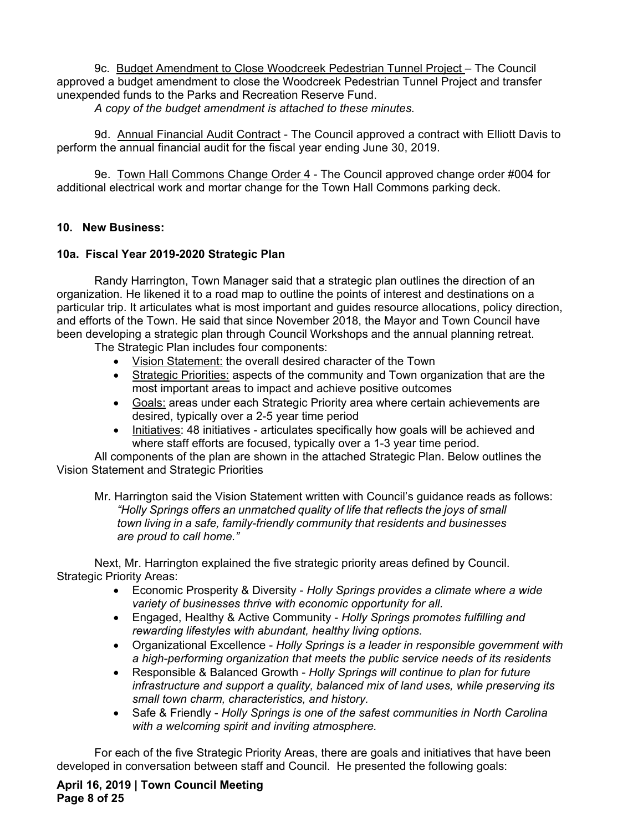9c. Budget Amendment to Close Woodcreek Pedestrian Tunnel Project – The Council approved a budget amendment to close the Woodcreek Pedestrian Tunnel Project and transfer unexpended funds to the Parks and Recreation Reserve Fund.

*A copy of the budget amendment is attached to these minutes.* 

9d. Annual Financial Audit Contract - The Council approved a contract with Elliott Davis to perform the annual financial audit for the fiscal year ending June 30, 2019.

9e. Town Hall Commons Change Order 4 - The Council approved change order #004 for additional electrical work and mortar change for the Town Hall Commons parking deck.

## **10. New Business:**

## **10a. Fiscal Year 2019-2020 Strategic Plan**

Randy Harrington, Town Manager said that a strategic plan outlines the direction of an organization. He likened it to a road map to outline the points of interest and destinations on a particular trip. It articulates what is most important and guides resource allocations, policy direction, and efforts of the Town. He said that since November 2018, the Mayor and Town Council have been developing a strategic plan through Council Workshops and the annual planning retreat.

The Strategic Plan includes four components:

- Vision Statement: the overall desired character of the Town
- Strategic Priorities: aspects of the community and Town organization that are the most important areas to impact and achieve positive outcomes
- Goals: areas under each Strategic Priority area where certain achievements are desired, typically over a 2-5 year time period
- Initiatives: 48 initiatives articulates specifically how goals will be achieved and where staff efforts are focused, typically over a 1-3 year time period.

All components of the plan are shown in the attached Strategic Plan. Below outlines the Vision Statement and Strategic Priorities

Mr. Harrington said the Vision Statement written with Council's guidance reads as follows: *"Holly Springs offers an unmatched quality of life that reflects the joys of small town living in a safe, family-friendly community that residents and businesses are proud to call home."* 

Next, Mr. Harrington explained the five strategic priority areas defined by Council. Strategic Priority Areas:

- Economic Prosperity & Diversity *Holly Springs provides a climate where a wide variety of businesses thrive with economic opportunity for all.*
- Engaged, Healthy & Active Community *Holly Springs promotes fulfilling and rewarding lifestyles with abundant, healthy living options.*
- Organizational Excellence *Holly Springs is a leader in responsible government with a high-performing organization that meets the public service needs of its residents*
- Responsible & Balanced Growth *Holly Springs will continue to plan for future infrastructure and support a quality, balanced mix of land uses, while preserving its small town charm, characteristics, and history.*
- Safe & Friendly *Holly Springs is one of the safest communities in North Carolina with a welcoming spirit and inviting atmosphere.*

For each of the five Strategic Priority Areas, there are goals and initiatives that have been developed in conversation between staff and Council. He presented the following goals:

**April 16, 2019 | Town Council Meeting Page 8 of 25**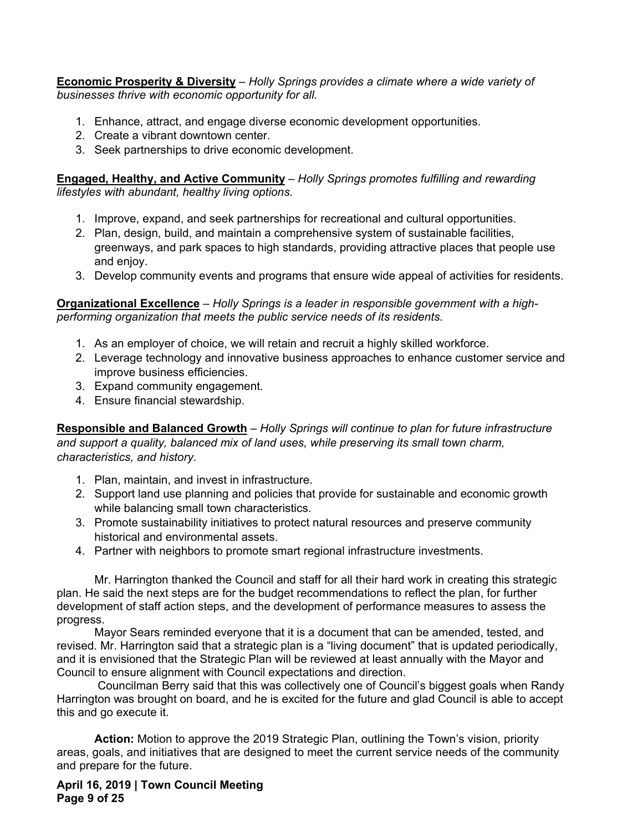**Economic Prosperity & Diversity** – *Holly Springs provides a climate where a wide variety of businesses thrive with economic opportunity for all.*

- 1. Enhance, attract, and engage diverse economic development opportunities.
- 2. Create a vibrant downtown center.
- 3. Seek partnerships to drive economic development.

**Engaged, Healthy, and Active Community** – *Holly Springs promotes fulfilling and rewarding lifestyles with abundant, healthy living options.* 

- 1. Improve, expand, and seek partnerships for recreational and cultural opportunities.
- 2. Plan, design, build, and maintain a comprehensive system of sustainable facilities, greenways, and park spaces to high standards, providing attractive places that people use and enjoy.
- 3. Develop community events and programs that ensure wide appeal of activities for residents.

**Organizational Excellence** *– Holly Springs is a leader in responsible government with a highperforming organization that meets the public service needs of its residents.* 

- 1. As an employer of choice, we will retain and recruit a highly skilled workforce.
- 2. Leverage technology and innovative business approaches to enhance customer service and improve business efficiencies.
- 3. Expand community engagement.
- 4. Ensure financial stewardship.

**Responsible and Balanced Growth** – *Holly Springs will continue to plan for future infrastructure and support a quality, balanced mix of land uses, while preserving its small town charm, characteristics, and history.* 

- 1. Plan, maintain, and invest in infrastructure.
- 2. Support land use planning and policies that provide for sustainable and economic growth while balancing small town characteristics.
- 3. Promote sustainability initiatives to protect natural resources and preserve community historical and environmental assets.
- 4. Partner with neighbors to promote smart regional infrastructure investments.

Mr. Harrington thanked the Council and staff for all their hard work in creating this strategic plan. He said the next steps are for the budget recommendations to reflect the plan, for further development of staff action steps, and the development of performance measures to assess the progress.

Mayor Sears reminded everyone that it is a document that can be amended, tested, and revised. Mr. Harrington said that a strategic plan is a "living document" that is updated periodically, and it is envisioned that the Strategic Plan will be reviewed at least annually with the Mayor and Council to ensure alignment with Council expectations and direction.

 Councilman Berry said that this was collectively one of Council's biggest goals when Randy Harrington was brought on board, and he is excited for the future and glad Council is able to accept this and go execute it.

**Action:** Motion to approve the 2019 Strategic Plan, outlining the Town's vision, priority areas, goals, and initiatives that are designed to meet the current service needs of the community and prepare for the future.

**April 16, 2019 | Town Council Meeting Page 9 of 25**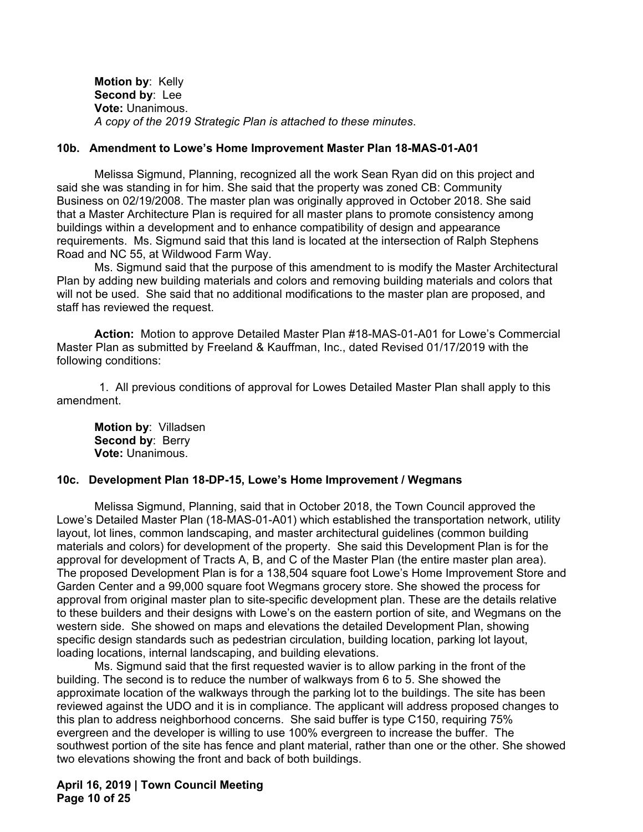**Motion by**: Kelly  **Second by**: Lee  **Vote:** Unanimous. *A copy of the 2019 Strategic Plan is attached to these minutes*.

#### **10b. Amendment to Lowe's Home Improvement Master Plan 18-MAS-01-A01**

Melissa Sigmund, Planning, recognized all the work Sean Ryan did on this project and said she was standing in for him. She said that the property was zoned CB: Community Business on 02/19/2008. The master plan was originally approved in October 2018. She said that a Master Architecture Plan is required for all master plans to promote consistency among buildings within a development and to enhance compatibility of design and appearance requirements. Ms. Sigmund said that this land is located at the intersection of Ralph Stephens Road and NC 55, at Wildwood Farm Way.

Ms. Sigmund said that the purpose of this amendment to is modify the Master Architectural Plan by adding new building materials and colors and removing building materials and colors that will not be used. She said that no additional modifications to the master plan are proposed, and staff has reviewed the request.

**Action:** Motion to approve Detailed Master Plan #18-MAS-01-A01 for Lowe's Commercial Master Plan as submitted by Freeland & Kauffman, Inc., dated Revised 01/17/2019 with the following conditions:

1. All previous conditions of approval for Lowes Detailed Master Plan shall apply to this amendment.

 **Motion by**: Villadsen  **Second by**: Berry  **Vote:** Unanimous.

## **10c. Development Plan 18-DP-15, Lowe's Home Improvement / Wegmans**

Melissa Sigmund, Planning, said that in October 2018, the Town Council approved the Lowe's Detailed Master Plan (18-MAS-01-A01) which established the transportation network, utility layout, lot lines, common landscaping, and master architectural guidelines (common building materials and colors) for development of the property. She said this Development Plan is for the approval for development of Tracts A, B, and C of the Master Plan (the entire master plan area). The proposed Development Plan is for a 138,504 square foot Lowe's Home Improvement Store and Garden Center and a 99,000 square foot Wegmans grocery store. She showed the process for approval from original master plan to site-specific development plan. These are the details relative to these builders and their designs with Lowe's on the eastern portion of site, and Wegmans on the western side. She showed on maps and elevations the detailed Development Plan, showing specific design standards such as pedestrian circulation, building location, parking lot layout, loading locations, internal landscaping, and building elevations.

Ms. Sigmund said that the first requested wavier is to allow parking in the front of the building. The second is to reduce the number of walkways from 6 to 5. She showed the approximate location of the walkways through the parking lot to the buildings. The site has been reviewed against the UDO and it is in compliance. The applicant will address proposed changes to this plan to address neighborhood concerns. She said buffer is type C150, requiring 75% evergreen and the developer is willing to use 100% evergreen to increase the buffer. The southwest portion of the site has fence and plant material, rather than one or the other. She showed two elevations showing the front and back of both buildings.

**April 16, 2019 | Town Council Meeting Page 10 of 25**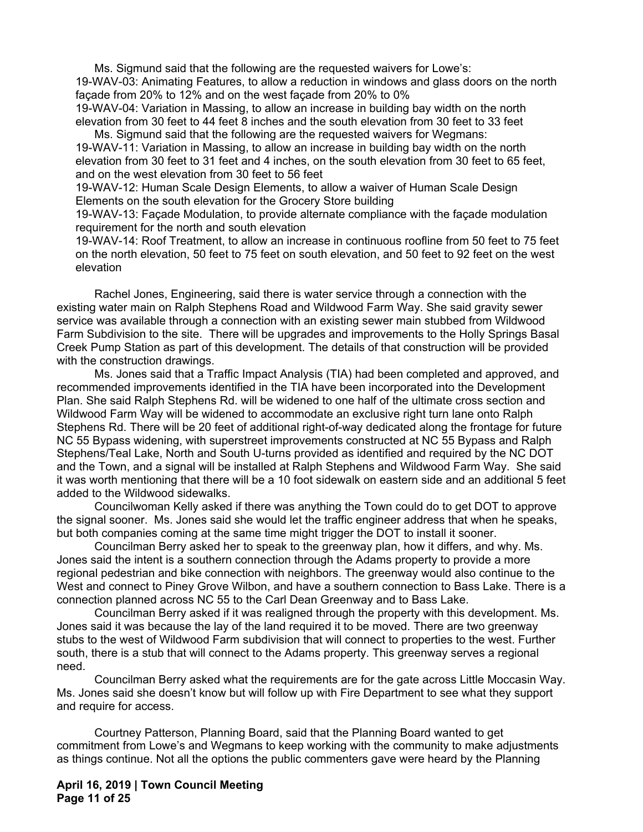Ms. Sigmund said that the following are the requested waivers for Lowe's: 19-WAV-03: Animating Features, to allow a reduction in windows and glass doors on the north façade from 20% to 12% and on the west façade from 20% to 0%

19-WAV-04: Variation in Massing, to allow an increase in building bay width on the north elevation from 30 feet to 44 feet 8 inches and the south elevation from 30 feet to 33 feet Ms. Sigmund said that the following are the requested waivers for Wegmans:

19-WAV-11: Variation in Massing, to allow an increase in building bay width on the north elevation from 30 feet to 31 feet and 4 inches, on the south elevation from 30 feet to 65 feet, and on the west elevation from 30 feet to 56 feet

19-WAV-12: Human Scale Design Elements, to allow a waiver of Human Scale Design Elements on the south elevation for the Grocery Store building

19-WAV-13: Façade Modulation, to provide alternate compliance with the façade modulation requirement for the north and south elevation

19-WAV-14: Roof Treatment, to allow an increase in continuous roofline from 50 feet to 75 feet on the north elevation, 50 feet to 75 feet on south elevation, and 50 feet to 92 feet on the west elevation

Rachel Jones, Engineering, said there is water service through a connection with the existing water main on Ralph Stephens Road and Wildwood Farm Way. She said gravity sewer service was available through a connection with an existing sewer main stubbed from Wildwood Farm Subdivision to the site. There will be upgrades and improvements to the Holly Springs Basal Creek Pump Station as part of this development. The details of that construction will be provided with the construction drawings.

Ms. Jones said that a Traffic Impact Analysis (TIA) had been completed and approved, and recommended improvements identified in the TIA have been incorporated into the Development Plan. She said Ralph Stephens Rd. will be widened to one half of the ultimate cross section and Wildwood Farm Way will be widened to accommodate an exclusive right turn lane onto Ralph Stephens Rd. There will be 20 feet of additional right-of-way dedicated along the frontage for future NC 55 Bypass widening, with superstreet improvements constructed at NC 55 Bypass and Ralph Stephens/Teal Lake, North and South U-turns provided as identified and required by the NC DOT and the Town, and a signal will be installed at Ralph Stephens and Wildwood Farm Way. She said it was worth mentioning that there will be a 10 foot sidewalk on eastern side and an additional 5 feet added to the Wildwood sidewalks.

Councilwoman Kelly asked if there was anything the Town could do to get DOT to approve the signal sooner. Ms. Jones said she would let the traffic engineer address that when he speaks, but both companies coming at the same time might trigger the DOT to install it sooner.

Councilman Berry asked her to speak to the greenway plan, how it differs, and why. Ms. Jones said the intent is a southern connection through the Adams property to provide a more regional pedestrian and bike connection with neighbors. The greenway would also continue to the West and connect to Piney Grove Wilbon, and have a southern connection to Bass Lake. There is a connection planned across NC 55 to the Carl Dean Greenway and to Bass Lake.

Councilman Berry asked if it was realigned through the property with this development. Ms. Jones said it was because the lay of the land required it to be moved. There are two greenway stubs to the west of Wildwood Farm subdivision that will connect to properties to the west. Further south, there is a stub that will connect to the Adams property. This greenway serves a regional need.

Councilman Berry asked what the requirements are for the gate across Little Moccasin Way. Ms. Jones said she doesn't know but will follow up with Fire Department to see what they support and require for access.

Courtney Patterson, Planning Board, said that the Planning Board wanted to get commitment from Lowe's and Wegmans to keep working with the community to make adjustments as things continue. Not all the options the public commenters gave were heard by the Planning

**April 16, 2019 | Town Council Meeting Page 11 of 25**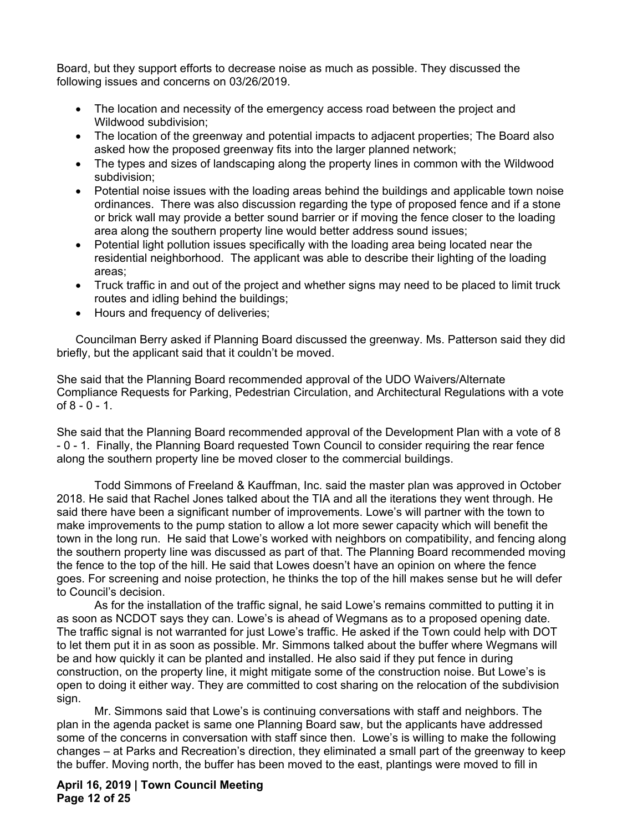Board, but they support efforts to decrease noise as much as possible. They discussed the following issues and concerns on 03/26/2019.

- The location and necessity of the emergency access road between the project and Wildwood subdivision;
- The location of the greenway and potential impacts to adjacent properties; The Board also asked how the proposed greenway fits into the larger planned network;
- The types and sizes of landscaping along the property lines in common with the Wildwood subdivision;
- Potential noise issues with the loading areas behind the buildings and applicable town noise ordinances. There was also discussion regarding the type of proposed fence and if a stone or brick wall may provide a better sound barrier or if moving the fence closer to the loading area along the southern property line would better address sound issues;
- Potential light pollution issues specifically with the loading area being located near the residential neighborhood. The applicant was able to describe their lighting of the loading areas;
- Truck traffic in and out of the project and whether signs may need to be placed to limit truck routes and idling behind the buildings;
- Hours and frequency of deliveries;

Councilman Berry asked if Planning Board discussed the greenway. Ms. Patterson said they did briefly, but the applicant said that it couldn't be moved.

She said that the Planning Board recommended approval of the UDO Waivers/Alternate Compliance Requests for Parking, Pedestrian Circulation, and Architectural Regulations with a vote of 8 - 0 - 1.

She said that the Planning Board recommended approval of the Development Plan with a vote of 8 - 0 - 1. Finally, the Planning Board requested Town Council to consider requiring the rear fence along the southern property line be moved closer to the commercial buildings.

Todd Simmons of Freeland & Kauffman, Inc. said the master plan was approved in October 2018. He said that Rachel Jones talked about the TIA and all the iterations they went through. He said there have been a significant number of improvements. Lowe's will partner with the town to make improvements to the pump station to allow a lot more sewer capacity which will benefit the town in the long run. He said that Lowe's worked with neighbors on compatibility, and fencing along the southern property line was discussed as part of that. The Planning Board recommended moving the fence to the top of the hill. He said that Lowes doesn't have an opinion on where the fence goes. For screening and noise protection, he thinks the top of the hill makes sense but he will defer to Council's decision.

As for the installation of the traffic signal, he said Lowe's remains committed to putting it in as soon as NCDOT says they can. Lowe's is ahead of Wegmans as to a proposed opening date. The traffic signal is not warranted for just Lowe's traffic. He asked if the Town could help with DOT to let them put it in as soon as possible. Mr. Simmons talked about the buffer where Wegmans will be and how quickly it can be planted and installed. He also said if they put fence in during construction, on the property line, it might mitigate some of the construction noise. But Lowe's is open to doing it either way. They are committed to cost sharing on the relocation of the subdivision sign.

Mr. Simmons said that Lowe's is continuing conversations with staff and neighbors. The plan in the agenda packet is same one Planning Board saw, but the applicants have addressed some of the concerns in conversation with staff since then. Lowe's is willing to make the following changes – at Parks and Recreation's direction, they eliminated a small part of the greenway to keep the buffer. Moving north, the buffer has been moved to the east, plantings were moved to fill in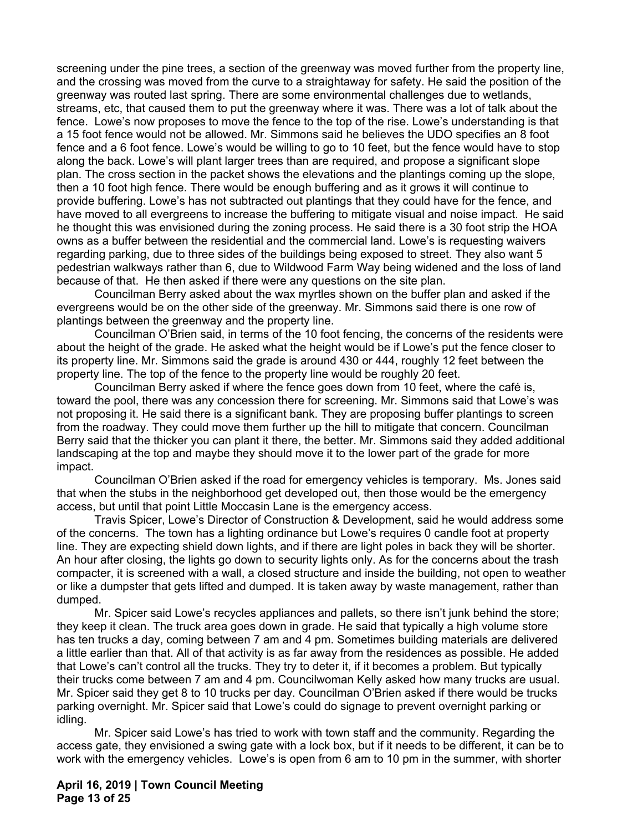screening under the pine trees, a section of the greenway was moved further from the property line, and the crossing was moved from the curve to a straightaway for safety. He said the position of the greenway was routed last spring. There are some environmental challenges due to wetlands, streams, etc, that caused them to put the greenway where it was. There was a lot of talk about the fence. Lowe's now proposes to move the fence to the top of the rise. Lowe's understanding is that a 15 foot fence would not be allowed. Mr. Simmons said he believes the UDO specifies an 8 foot fence and a 6 foot fence. Lowe's would be willing to go to 10 feet, but the fence would have to stop along the back. Lowe's will plant larger trees than are required, and propose a significant slope plan. The cross section in the packet shows the elevations and the plantings coming up the slope, then a 10 foot high fence. There would be enough buffering and as it grows it will continue to provide buffering. Lowe's has not subtracted out plantings that they could have for the fence, and have moved to all evergreens to increase the buffering to mitigate visual and noise impact. He said he thought this was envisioned during the zoning process. He said there is a 30 foot strip the HOA owns as a buffer between the residential and the commercial land. Lowe's is requesting waivers regarding parking, due to three sides of the buildings being exposed to street. They also want 5 pedestrian walkways rather than 6, due to Wildwood Farm Way being widened and the loss of land because of that. He then asked if there were any questions on the site plan.

Councilman Berry asked about the wax myrtles shown on the buffer plan and asked if the evergreens would be on the other side of the greenway. Mr. Simmons said there is one row of plantings between the greenway and the property line.

Councilman O'Brien said, in terms of the 10 foot fencing, the concerns of the residents were about the height of the grade. He asked what the height would be if Lowe's put the fence closer to its property line. Mr. Simmons said the grade is around 430 or 444, roughly 12 feet between the property line. The top of the fence to the property line would be roughly 20 feet.

Councilman Berry asked if where the fence goes down from 10 feet, where the café is, toward the pool, there was any concession there for screening. Mr. Simmons said that Lowe's was not proposing it. He said there is a significant bank. They are proposing buffer plantings to screen from the roadway. They could move them further up the hill to mitigate that concern. Councilman Berry said that the thicker you can plant it there, the better. Mr. Simmons said they added additional landscaping at the top and maybe they should move it to the lower part of the grade for more impact.

Councilman O'Brien asked if the road for emergency vehicles is temporary. Ms. Jones said that when the stubs in the neighborhood get developed out, then those would be the emergency access, but until that point Little Moccasin Lane is the emergency access.

Travis Spicer, Lowe's Director of Construction & Development, said he would address some of the concerns. The town has a lighting ordinance but Lowe's requires 0 candle foot at property line. They are expecting shield down lights, and if there are light poles in back they will be shorter. An hour after closing, the lights go down to security lights only. As for the concerns about the trash compacter, it is screened with a wall, a closed structure and inside the building, not open to weather or like a dumpster that gets lifted and dumped. It is taken away by waste management, rather than dumped.

Mr. Spicer said Lowe's recycles appliances and pallets, so there isn't junk behind the store; they keep it clean. The truck area goes down in grade. He said that typically a high volume store has ten trucks a day, coming between 7 am and 4 pm. Sometimes building materials are delivered a little earlier than that. All of that activity is as far away from the residences as possible. He added that Lowe's can't control all the trucks. They try to deter it, if it becomes a problem. But typically their trucks come between 7 am and 4 pm. Councilwoman Kelly asked how many trucks are usual. Mr. Spicer said they get 8 to 10 trucks per day. Councilman O'Brien asked if there would be trucks parking overnight. Mr. Spicer said that Lowe's could do signage to prevent overnight parking or idling.

Mr. Spicer said Lowe's has tried to work with town staff and the community. Regarding the access gate, they envisioned a swing gate with a lock box, but if it needs to be different, it can be to work with the emergency vehicles. Lowe's is open from 6 am to 10 pm in the summer, with shorter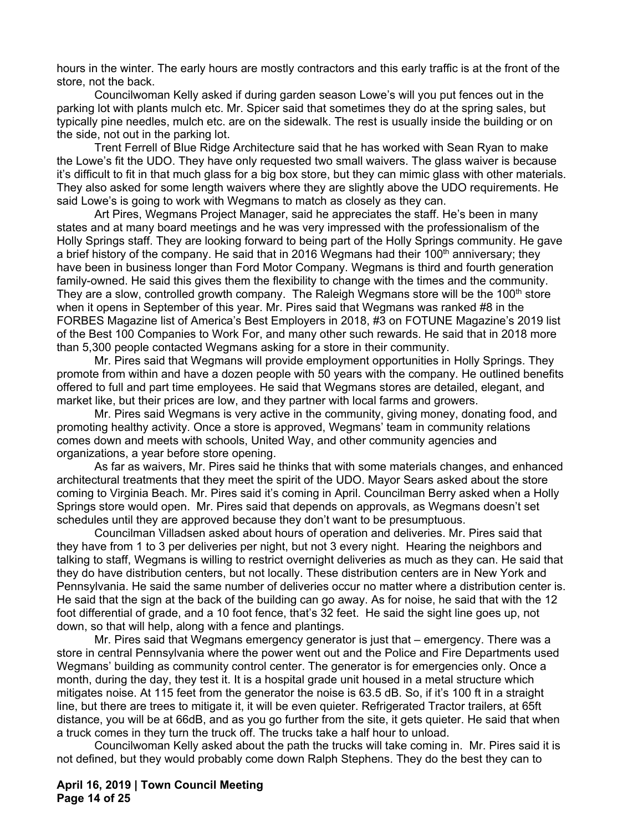hours in the winter. The early hours are mostly contractors and this early traffic is at the front of the store, not the back.

Councilwoman Kelly asked if during garden season Lowe's will you put fences out in the parking lot with plants mulch etc. Mr. Spicer said that sometimes they do at the spring sales, but typically pine needles, mulch etc. are on the sidewalk. The rest is usually inside the building or on the side, not out in the parking lot.

Trent Ferrell of Blue Ridge Architecture said that he has worked with Sean Ryan to make the Lowe's fit the UDO. They have only requested two small waivers. The glass waiver is because it's difficult to fit in that much glass for a big box store, but they can mimic glass with other materials. They also asked for some length waivers where they are slightly above the UDO requirements. He said Lowe's is going to work with Wegmans to match as closely as they can.

Art Pires, Wegmans Project Manager, said he appreciates the staff. He's been in many states and at many board meetings and he was very impressed with the professionalism of the Holly Springs staff. They are looking forward to being part of the Holly Springs community. He gave a brief history of the company. He said that in 2016 Wegmans had their 100<sup>th</sup> anniversary; they have been in business longer than Ford Motor Company. Wegmans is third and fourth generation family-owned. He said this gives them the flexibility to change with the times and the community. They are a slow, controlled growth company. The Raleigh Wegmans store will be the 100<sup>th</sup> store when it opens in September of this year. Mr. Pires said that Wegmans was ranked #8 in the FORBES Magazine list of America's Best Employers in 2018, #3 on FOTUNE Magazine's 2019 list of the Best 100 Companies to Work For, and many other such rewards. He said that in 2018 more than 5,300 people contacted Wegmans asking for a store in their community.

Mr. Pires said that Wegmans will provide employment opportunities in Holly Springs. They promote from within and have a dozen people with 50 years with the company. He outlined benefits offered to full and part time employees. He said that Wegmans stores are detailed, elegant, and market like, but their prices are low, and they partner with local farms and growers.

Mr. Pires said Wegmans is very active in the community, giving money, donating food, and promoting healthy activity. Once a store is approved, Wegmans' team in community relations comes down and meets with schools, United Way, and other community agencies and organizations, a year before store opening.

As far as waivers, Mr. Pires said he thinks that with some materials changes, and enhanced architectural treatments that they meet the spirit of the UDO. Mayor Sears asked about the store coming to Virginia Beach. Mr. Pires said it's coming in April. Councilman Berry asked when a Holly Springs store would open. Mr. Pires said that depends on approvals, as Wegmans doesn't set schedules until they are approved because they don't want to be presumptuous.

Councilman Villadsen asked about hours of operation and deliveries. Mr. Pires said that they have from 1 to 3 per deliveries per night, but not 3 every night. Hearing the neighbors and talking to staff, Wegmans is willing to restrict overnight deliveries as much as they can. He said that they do have distribution centers, but not locally. These distribution centers are in New York and Pennsylvania. He said the same number of deliveries occur no matter where a distribution center is. He said that the sign at the back of the building can go away. As for noise, he said that with the 12 foot differential of grade, and a 10 foot fence, that's 32 feet. He said the sight line goes up, not down, so that will help, along with a fence and plantings.

Mr. Pires said that Wegmans emergency generator is just that – emergency. There was a store in central Pennsylvania where the power went out and the Police and Fire Departments used Wegmans' building as community control center. The generator is for emergencies only. Once a month, during the day, they test it. It is a hospital grade unit housed in a metal structure which mitigates noise. At 115 feet from the generator the noise is 63.5 dB. So, if it's 100 ft in a straight line, but there are trees to mitigate it, it will be even quieter. Refrigerated Tractor trailers, at 65ft distance, you will be at 66dB, and as you go further from the site, it gets quieter. He said that when a truck comes in they turn the truck off. The trucks take a half hour to unload.

Councilwoman Kelly asked about the path the trucks will take coming in. Mr. Pires said it is not defined, but they would probably come down Ralph Stephens. They do the best they can to

**April 16, 2019 | Town Council Meeting Page 14 of 25**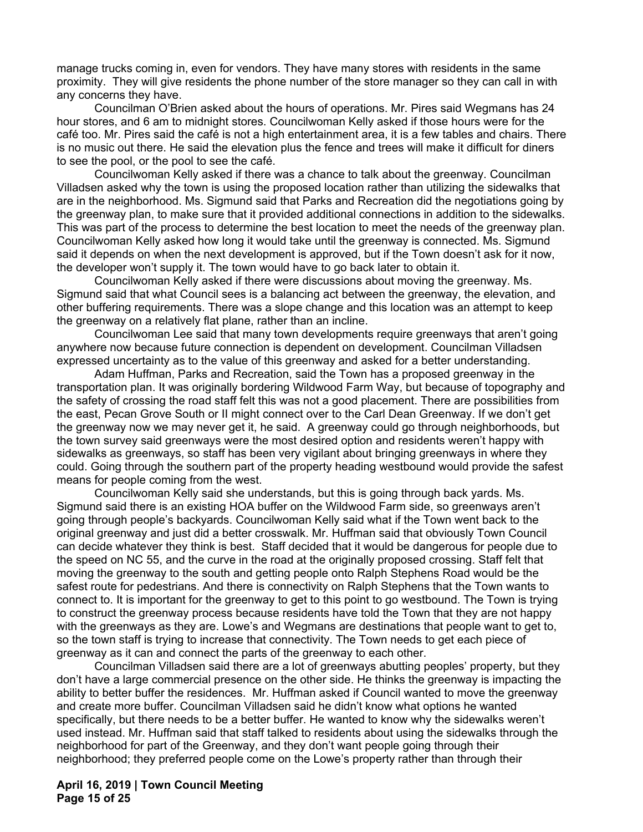manage trucks coming in, even for vendors. They have many stores with residents in the same proximity. They will give residents the phone number of the store manager so they can call in with any concerns they have.

Councilman O'Brien asked about the hours of operations. Mr. Pires said Wegmans has 24 hour stores, and 6 am to midnight stores. Councilwoman Kelly asked if those hours were for the café too. Mr. Pires said the café is not a high entertainment area, it is a few tables and chairs. There is no music out there. He said the elevation plus the fence and trees will make it difficult for diners to see the pool, or the pool to see the café.

Councilwoman Kelly asked if there was a chance to talk about the greenway. Councilman Villadsen asked why the town is using the proposed location rather than utilizing the sidewalks that are in the neighborhood. Ms. Sigmund said that Parks and Recreation did the negotiations going by the greenway plan, to make sure that it provided additional connections in addition to the sidewalks. This was part of the process to determine the best location to meet the needs of the greenway plan. Councilwoman Kelly asked how long it would take until the greenway is connected. Ms. Sigmund said it depends on when the next development is approved, but if the Town doesn't ask for it now, the developer won't supply it. The town would have to go back later to obtain it.

Councilwoman Kelly asked if there were discussions about moving the greenway. Ms. Sigmund said that what Council sees is a balancing act between the greenway, the elevation, and other buffering requirements. There was a slope change and this location was an attempt to keep the greenway on a relatively flat plane, rather than an incline.

Councilwoman Lee said that many town developments require greenways that aren't going anywhere now because future connection is dependent on development. Councilman Villadsen expressed uncertainty as to the value of this greenway and asked for a better understanding.

Adam Huffman, Parks and Recreation, said the Town has a proposed greenway in the transportation plan. It was originally bordering Wildwood Farm Way, but because of topography and the safety of crossing the road staff felt this was not a good placement. There are possibilities from the east, Pecan Grove South or II might connect over to the Carl Dean Greenway. If we don't get the greenway now we may never get it, he said. A greenway could go through neighborhoods, but the town survey said greenways were the most desired option and residents weren't happy with sidewalks as greenways, so staff has been very vigilant about bringing greenways in where they could. Going through the southern part of the property heading westbound would provide the safest means for people coming from the west.

Councilwoman Kelly said she understands, but this is going through back yards. Ms. Sigmund said there is an existing HOA buffer on the Wildwood Farm side, so greenways aren't going through people's backyards. Councilwoman Kelly said what if the Town went back to the original greenway and just did a better crosswalk. Mr. Huffman said that obviously Town Council can decide whatever they think is best. Staff decided that it would be dangerous for people due to the speed on NC 55, and the curve in the road at the originally proposed crossing. Staff felt that moving the greenway to the south and getting people onto Ralph Stephens Road would be the safest route for pedestrians. And there is connectivity on Ralph Stephens that the Town wants to connect to. It is important for the greenway to get to this point to go westbound. The Town is trying to construct the greenway process because residents have told the Town that they are not happy with the greenways as they are. Lowe's and Wegmans are destinations that people want to get to, so the town staff is trying to increase that connectivity. The Town needs to get each piece of greenway as it can and connect the parts of the greenway to each other.

Councilman Villadsen said there are a lot of greenways abutting peoples' property, but they don't have a large commercial presence on the other side. He thinks the greenway is impacting the ability to better buffer the residences. Mr. Huffman asked if Council wanted to move the greenway and create more buffer. Councilman Villadsen said he didn't know what options he wanted specifically, but there needs to be a better buffer. He wanted to know why the sidewalks weren't used instead. Mr. Huffman said that staff talked to residents about using the sidewalks through the neighborhood for part of the Greenway, and they don't want people going through their neighborhood; they preferred people come on the Lowe's property rather than through their

**April 16, 2019 | Town Council Meeting Page 15 of 25**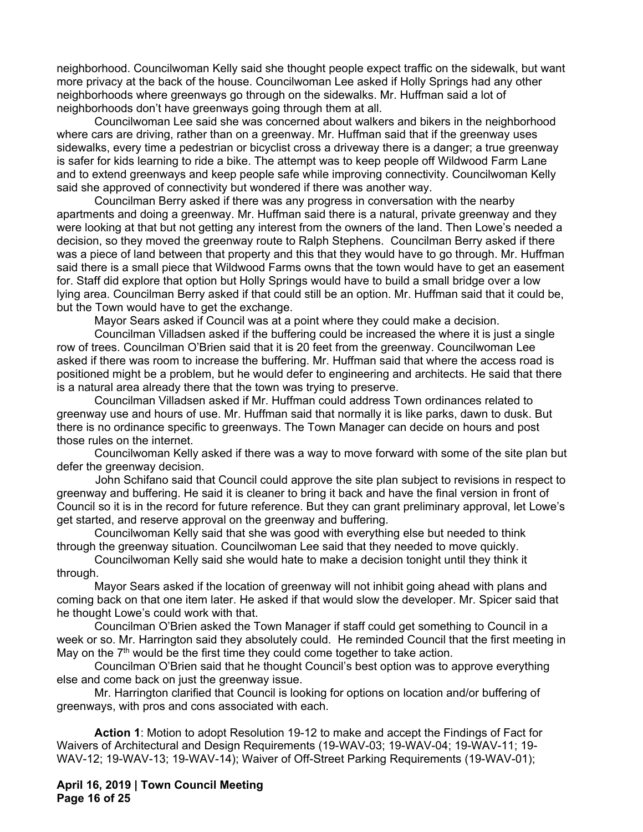neighborhood. Councilwoman Kelly said she thought people expect traffic on the sidewalk, but want more privacy at the back of the house. Councilwoman Lee asked if Holly Springs had any other neighborhoods where greenways go through on the sidewalks. Mr. Huffman said a lot of neighborhoods don't have greenways going through them at all.

Councilwoman Lee said she was concerned about walkers and bikers in the neighborhood where cars are driving, rather than on a greenway. Mr. Huffman said that if the greenway uses sidewalks, every time a pedestrian or bicyclist cross a driveway there is a danger; a true greenway is safer for kids learning to ride a bike. The attempt was to keep people off Wildwood Farm Lane and to extend greenways and keep people safe while improving connectivity. Councilwoman Kelly said she approved of connectivity but wondered if there was another way.

Councilman Berry asked if there was any progress in conversation with the nearby apartments and doing a greenway. Mr. Huffman said there is a natural, private greenway and they were looking at that but not getting any interest from the owners of the land. Then Lowe's needed a decision, so they moved the greenway route to Ralph Stephens. Councilman Berry asked if there was a piece of land between that property and this that they would have to go through. Mr. Huffman said there is a small piece that Wildwood Farms owns that the town would have to get an easement for. Staff did explore that option but Holly Springs would have to build a small bridge over a low lying area. Councilman Berry asked if that could still be an option. Mr. Huffman said that it could be, but the Town would have to get the exchange.

Mayor Sears asked if Council was at a point where they could make a decision.

Councilman Villadsen asked if the buffering could be increased the where it is just a single row of trees. Councilman O'Brien said that it is 20 feet from the greenway. Councilwoman Lee asked if there was room to increase the buffering. Mr. Huffman said that where the access road is positioned might be a problem, but he would defer to engineering and architects. He said that there is a natural area already there that the town was trying to preserve.

Councilman Villadsen asked if Mr. Huffman could address Town ordinances related to greenway use and hours of use. Mr. Huffman said that normally it is like parks, dawn to dusk. But there is no ordinance specific to greenways. The Town Manager can decide on hours and post those rules on the internet.

Councilwoman Kelly asked if there was a way to move forward with some of the site plan but defer the greenway decision.

 John Schifano said that Council could approve the site plan subject to revisions in respect to greenway and buffering. He said it is cleaner to bring it back and have the final version in front of Council so it is in the record for future reference. But they can grant preliminary approval, let Lowe's get started, and reserve approval on the greenway and buffering.

Councilwoman Kelly said that she was good with everything else but needed to think through the greenway situation. Councilwoman Lee said that they needed to move quickly.

Councilwoman Kelly said she would hate to make a decision tonight until they think it through.

Mayor Sears asked if the location of greenway will not inhibit going ahead with plans and coming back on that one item later. He asked if that would slow the developer. Mr. Spicer said that he thought Lowe's could work with that.

Councilman O'Brien asked the Town Manager if staff could get something to Council in a week or so. Mr. Harrington said they absolutely could. He reminded Council that the first meeting in May on the  $7<sup>th</sup>$  would be the first time they could come together to take action.

Councilman O'Brien said that he thought Council's best option was to approve everything else and come back on just the greenway issue.

Mr. Harrington clarified that Council is looking for options on location and/or buffering of greenways, with pros and cons associated with each.

**Action 1**: Motion to adopt Resolution 19-12 to make and accept the Findings of Fact for Waivers of Architectural and Design Requirements (19-WAV-03; 19-WAV-04; 19-WAV-11; 19- WAV-12; 19-WAV-13; 19-WAV-14); Waiver of Off-Street Parking Requirements (19-WAV-01);

**April 16, 2019 | Town Council Meeting Page 16 of 25**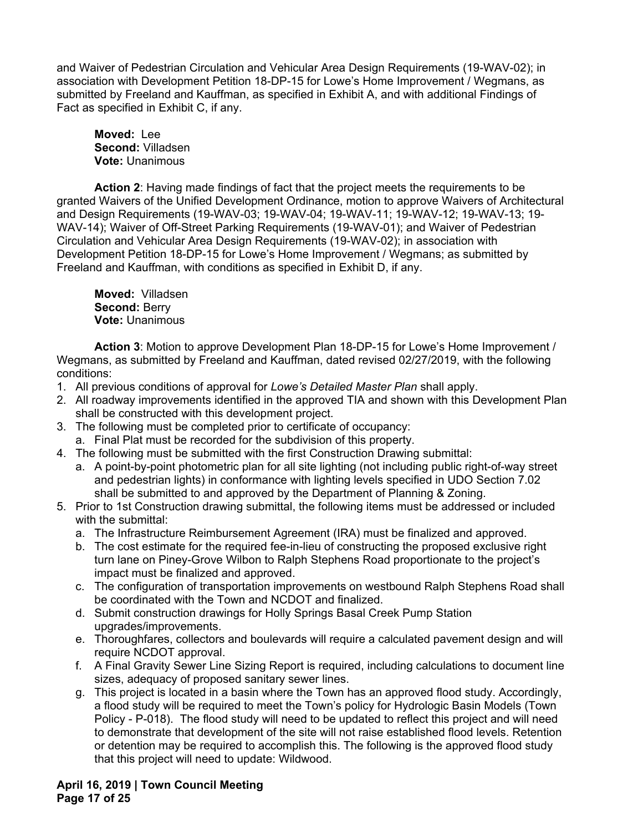and Waiver of Pedestrian Circulation and Vehicular Area Design Requirements (19-WAV-02); in association with Development Petition 18-DP-15 for Lowe's Home Improvement / Wegmans, as submitted by Freeland and Kauffman, as specified in Exhibit A, and with additional Findings of Fact as specified in Exhibit C, if any.

**Moved:** Lee **Second:** Villadsen **Vote:** Unanimous

**Action 2**: Having made findings of fact that the project meets the requirements to be granted Waivers of the Unified Development Ordinance, motion to approve Waivers of Architectural and Design Requirements (19-WAV-03; 19-WAV-04; 19-WAV-11; 19-WAV-12; 19-WAV-13; 19- WAV-14); Waiver of Off-Street Parking Requirements (19-WAV-01); and Waiver of Pedestrian Circulation and Vehicular Area Design Requirements (19-WAV-02); in association with Development Petition 18-DP-15 for Lowe's Home Improvement / Wegmans; as submitted by Freeland and Kauffman, with conditions as specified in Exhibit D, if any.

**Moved:** Villadsen **Second:** Berry **Vote:** Unanimous

**Action 3**: Motion to approve Development Plan 18-DP-15 for Lowe's Home Improvement / Wegmans, as submitted by Freeland and Kauffman, dated revised 02/27/2019, with the following conditions:

- 1. All previous conditions of approval for *Lowe's Detailed Master Plan* shall apply.
- 2. All roadway improvements identified in the approved TIA and shown with this Development Plan shall be constructed with this development project.
- 3. The following must be completed prior to certificate of occupancy:
	- a. Final Plat must be recorded for the subdivision of this property.
- 4. The following must be submitted with the first Construction Drawing submittal:
	- a. A point-by-point photometric plan for all site lighting (not including public right-of-way street and pedestrian lights) in conformance with lighting levels specified in UDO Section 7.02 shall be submitted to and approved by the Department of Planning & Zoning.
- 5. Prior to 1st Construction drawing submittal, the following items must be addressed or included with the submittal:
	- a. The Infrastructure Reimbursement Agreement (IRA) must be finalized and approved.
	- b. The cost estimate for the required fee-in-lieu of constructing the proposed exclusive right turn lane on Piney-Grove Wilbon to Ralph Stephens Road proportionate to the project's impact must be finalized and approved.
	- c. The configuration of transportation improvements on westbound Ralph Stephens Road shall be coordinated with the Town and NCDOT and finalized.
	- d. Submit construction drawings for Holly Springs Basal Creek Pump Station upgrades/improvements.
	- e. Thoroughfares, collectors and boulevards will require a calculated pavement design and will require NCDOT approval.
	- f. A Final Gravity Sewer Line Sizing Report is required, including calculations to document line sizes, adequacy of proposed sanitary sewer lines.
	- g. This project is located in a basin where the Town has an approved flood study. Accordingly, a flood study will be required to meet the Town's policy for Hydrologic Basin Models (Town Policy - P-018). The flood study will need to be updated to reflect this project and will need to demonstrate that development of the site will not raise established flood levels. Retention or detention may be required to accomplish this. The following is the approved flood study that this project will need to update: Wildwood.

**April 16, 2019 | Town Council Meeting Page 17 of 25**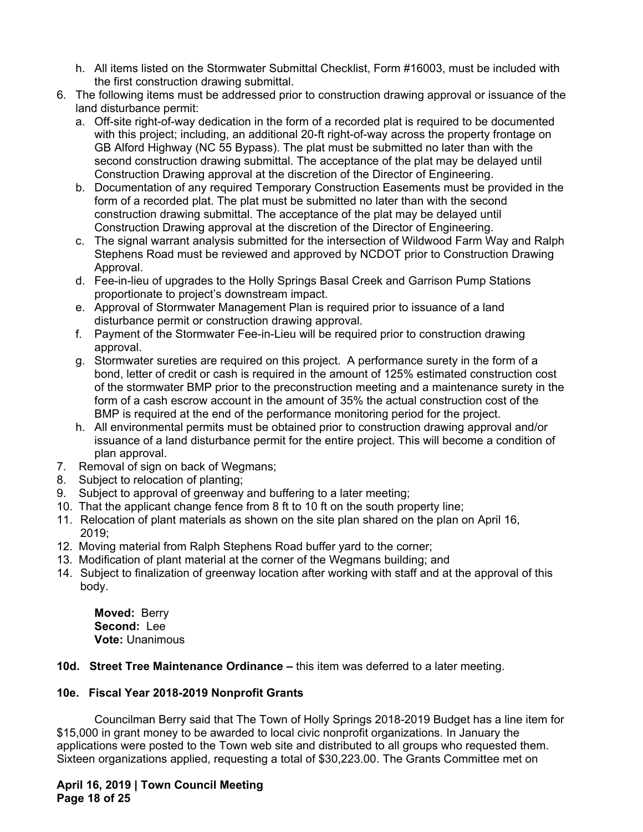- h. All items listed on the Stormwater Submittal Checklist, Form #16003, must be included with the first construction drawing submittal.
- 6. The following items must be addressed prior to construction drawing approval or issuance of the land disturbance permit:
	- a. Off-site right-of-way dedication in the form of a recorded plat is required to be documented with this project; including, an additional 20-ft right-of-way across the property frontage on GB Alford Highway (NC 55 Bypass). The plat must be submitted no later than with the second construction drawing submittal. The acceptance of the plat may be delayed until Construction Drawing approval at the discretion of the Director of Engineering.
	- b. Documentation of any required Temporary Construction Easements must be provided in the form of a recorded plat. The plat must be submitted no later than with the second construction drawing submittal. The acceptance of the plat may be delayed until Construction Drawing approval at the discretion of the Director of Engineering.
	- c. The signal warrant analysis submitted for the intersection of Wildwood Farm Way and Ralph Stephens Road must be reviewed and approved by NCDOT prior to Construction Drawing Approval.
	- d. Fee-in-lieu of upgrades to the Holly Springs Basal Creek and Garrison Pump Stations proportionate to project's downstream impact.
	- e. Approval of Stormwater Management Plan is required prior to issuance of a land disturbance permit or construction drawing approval.
	- f. Payment of the Stormwater Fee-in-Lieu will be required prior to construction drawing approval.
	- g. Stormwater sureties are required on this project. A performance surety in the form of a bond, letter of credit or cash is required in the amount of 125% estimated construction cost of the stormwater BMP prior to the preconstruction meeting and a maintenance surety in the form of a cash escrow account in the amount of 35% the actual construction cost of the BMP is required at the end of the performance monitoring period for the project.
	- h. All environmental permits must be obtained prior to construction drawing approval and/or issuance of a land disturbance permit for the entire project. This will become a condition of plan approval.
- 7. Removal of sign on back of Wegmans;
- 8. Subject to relocation of planting;
- 9. Subject to approval of greenway and buffering to a later meeting;
- 10. That the applicant change fence from 8 ft to 10 ft on the south property line;
- 11. Relocation of plant materials as shown on the site plan shared on the plan on April 16, 2019;
- 12. Moving material from Ralph Stephens Road buffer yard to the corner;
- 13. Modification of plant material at the corner of the Wegmans building; and
- 14. Subject to finalization of greenway location after working with staff and at the approval of this body.

**Moved:** Berry **Second:** Lee **Vote:** Unanimous

**10d. Street Tree Maintenance Ordinance –** this item was deferred to a later meeting.

# **10e. Fiscal Year 2018-2019 Nonprofit Grants**

Councilman Berry said that The Town of Holly Springs 2018-2019 Budget has a line item for \$15,000 in grant money to be awarded to local civic nonprofit organizations. In January the applications were posted to the Town web site and distributed to all groups who requested them. Sixteen organizations applied, requesting a total of \$30,223.00. The Grants Committee met on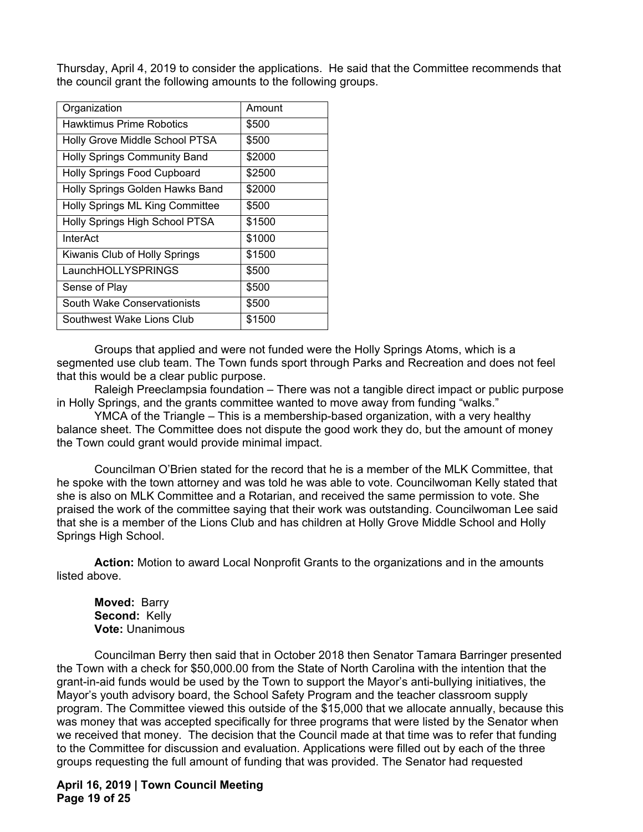Thursday, April 4, 2019 to consider the applications. He said that the Committee recommends that the council grant the following amounts to the following groups.

| Organization                        | Amount |
|-------------------------------------|--------|
| <b>Hawktimus Prime Robotics</b>     | \$500  |
| Holly Grove Middle School PTSA      | \$500  |
| <b>Holly Springs Community Band</b> | \$2000 |
| <b>Holly Springs Food Cupboard</b>  | \$2500 |
| Holly Springs Golden Hawks Band     | \$2000 |
| Holly Springs ML King Committee     | \$500  |
| Holly Springs High School PTSA      | \$1500 |
| InterAct                            | \$1000 |
| Kiwanis Club of Holly Springs       | \$1500 |
| LaunchHOLLYSPRINGS                  | \$500  |
| Sense of Play                       | \$500  |
| <b>South Wake Conservationists</b>  | \$500  |
| Southwest Wake Lions Club           | \$1500 |

Groups that applied and were not funded were the Holly Springs Atoms, which is a segmented use club team. The Town funds sport through Parks and Recreation and does not feel that this would be a clear public purpose.

Raleigh Preeclampsia foundation – There was not a tangible direct impact or public purpose in Holly Springs, and the grants committee wanted to move away from funding "walks."

YMCA of the Triangle – This is a membership-based organization, with a very healthy balance sheet. The Committee does not dispute the good work they do, but the amount of money the Town could grant would provide minimal impact.

Councilman O'Brien stated for the record that he is a member of the MLK Committee, that he spoke with the town attorney and was told he was able to vote. Councilwoman Kelly stated that she is also on MLK Committee and a Rotarian, and received the same permission to vote. She praised the work of the committee saying that their work was outstanding. Councilwoman Lee said that she is a member of the Lions Club and has children at Holly Grove Middle School and Holly Springs High School.

**Action:** Motion to award Local Nonprofit Grants to the organizations and in the amounts listed above.

**Moved:** Barry **Second:** Kelly **Vote:** Unanimous

Councilman Berry then said that in October 2018 then Senator Tamara Barringer presented the Town with a check for \$50,000.00 from the State of North Carolina with the intention that the grant-in-aid funds would be used by the Town to support the Mayor's anti-bullying initiatives, the Mayor's youth advisory board, the School Safety Program and the teacher classroom supply program. The Committee viewed this outside of the \$15,000 that we allocate annually, because this was money that was accepted specifically for three programs that were listed by the Senator when we received that money. The decision that the Council made at that time was to refer that funding to the Committee for discussion and evaluation. Applications were filled out by each of the three groups requesting the full amount of funding that was provided. The Senator had requested

**April 16, 2019 | Town Council Meeting Page 19 of 25**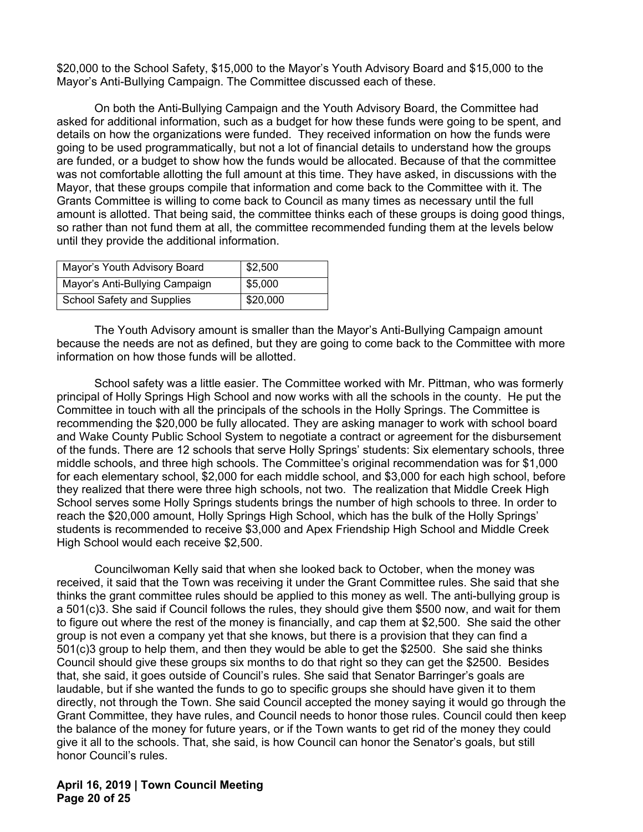\$20,000 to the School Safety, \$15,000 to the Mayor's Youth Advisory Board and \$15,000 to the Mayor's Anti-Bullying Campaign. The Committee discussed each of these.

On both the Anti-Bullying Campaign and the Youth Advisory Board, the Committee had asked for additional information, such as a budget for how these funds were going to be spent, and details on how the organizations were funded. They received information on how the funds were going to be used programmatically, but not a lot of financial details to understand how the groups are funded, or a budget to show how the funds would be allocated. Because of that the committee was not comfortable allotting the full amount at this time. They have asked, in discussions with the Mayor, that these groups compile that information and come back to the Committee with it. The Grants Committee is willing to come back to Council as many times as necessary until the full amount is allotted. That being said, the committee thinks each of these groups is doing good things, so rather than not fund them at all, the committee recommended funding them at the levels below until they provide the additional information.

| Mayor's Youth Advisory Board   | \$2,500  |
|--------------------------------|----------|
| Mayor's Anti-Bullying Campaign | \$5,000  |
| School Safety and Supplies     | \$20,000 |

The Youth Advisory amount is smaller than the Mayor's Anti-Bullying Campaign amount because the needs are not as defined, but they are going to come back to the Committee with more information on how those funds will be allotted.

School safety was a little easier. The Committee worked with Mr. Pittman, who was formerly principal of Holly Springs High School and now works with all the schools in the county. He put the Committee in touch with all the principals of the schools in the Holly Springs. The Committee is recommending the \$20,000 be fully allocated. They are asking manager to work with school board and Wake County Public School System to negotiate a contract or agreement for the disbursement of the funds. There are 12 schools that serve Holly Springs' students: Six elementary schools, three middle schools, and three high schools. The Committee's original recommendation was for \$1,000 for each elementary school, \$2,000 for each middle school, and \$3,000 for each high school, before they realized that there were three high schools, not two. The realization that Middle Creek High School serves some Holly Springs students brings the number of high schools to three. In order to reach the \$20,000 amount, Holly Springs High School, which has the bulk of the Holly Springs' students is recommended to receive \$3,000 and Apex Friendship High School and Middle Creek High School would each receive \$2,500.

Councilwoman Kelly said that when she looked back to October, when the money was received, it said that the Town was receiving it under the Grant Committee rules. She said that she thinks the grant committee rules should be applied to this money as well. The anti-bullying group is a 501(c)3. She said if Council follows the rules, they should give them \$500 now, and wait for them to figure out where the rest of the money is financially, and cap them at \$2,500. She said the other group is not even a company yet that she knows, but there is a provision that they can find a 501(c)3 group to help them, and then they would be able to get the \$2500. She said she thinks Council should give these groups six months to do that right so they can get the \$2500. Besides that, she said, it goes outside of Council's rules. She said that Senator Barringer's goals are laudable, but if she wanted the funds to go to specific groups she should have given it to them directly, not through the Town. She said Council accepted the money saying it would go through the Grant Committee, they have rules, and Council needs to honor those rules. Council could then keep the balance of the money for future years, or if the Town wants to get rid of the money they could give it all to the schools. That, she said, is how Council can honor the Senator's goals, but still honor Council's rules.

### **April 16, 2019 | Town Council Meeting Page 20 of 25**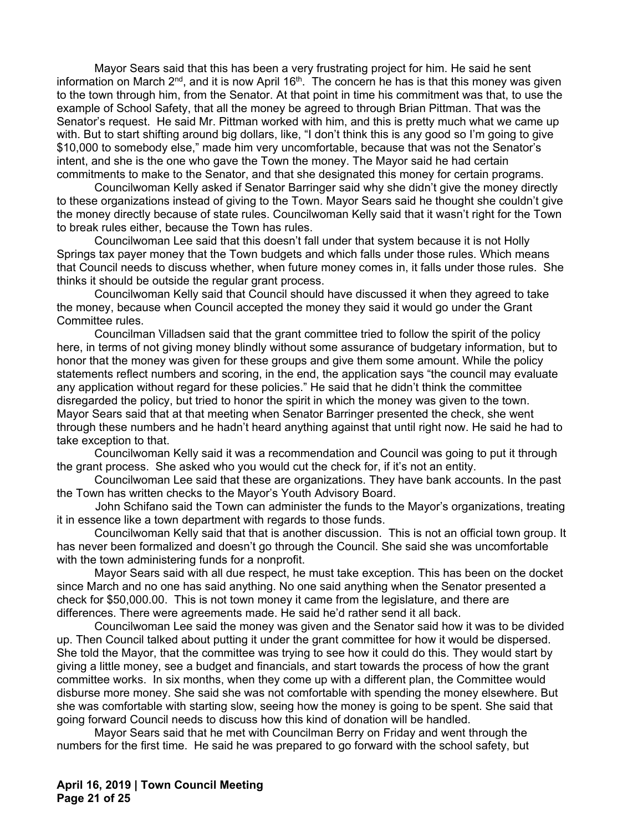Mayor Sears said that this has been a very frustrating project for him. He said he sent information on March  $2<sup>nd</sup>$ , and it is now April 16<sup>th</sup>. The concern he has is that this money was given to the town through him, from the Senator. At that point in time his commitment was that, to use the example of School Safety, that all the money be agreed to through Brian Pittman. That was the Senator's request. He said Mr. Pittman worked with him, and this is pretty much what we came up with. But to start shifting around big dollars, like, "I don't think this is any good so I'm going to give \$10,000 to somebody else," made him very uncomfortable, because that was not the Senator's intent, and she is the one who gave the Town the money. The Mayor said he had certain commitments to make to the Senator, and that she designated this money for certain programs.

Councilwoman Kelly asked if Senator Barringer said why she didn't give the money directly to these organizations instead of giving to the Town. Mayor Sears said he thought she couldn't give the money directly because of state rules. Councilwoman Kelly said that it wasn't right for the Town to break rules either, because the Town has rules.

Councilwoman Lee said that this doesn't fall under that system because it is not Holly Springs tax payer money that the Town budgets and which falls under those rules. Which means that Council needs to discuss whether, when future money comes in, it falls under those rules. She thinks it should be outside the regular grant process.

Councilwoman Kelly said that Council should have discussed it when they agreed to take the money, because when Council accepted the money they said it would go under the Grant Committee rules.

Councilman Villadsen said that the grant committee tried to follow the spirit of the policy here, in terms of not giving money blindly without some assurance of budgetary information, but to honor that the money was given for these groups and give them some amount. While the policy statements reflect numbers and scoring, in the end, the application says "the council may evaluate any application without regard for these policies." He said that he didn't think the committee disregarded the policy, but tried to honor the spirit in which the money was given to the town. Mayor Sears said that at that meeting when Senator Barringer presented the check, she went through these numbers and he hadn't heard anything against that until right now. He said he had to take exception to that.

Councilwoman Kelly said it was a recommendation and Council was going to put it through the grant process. She asked who you would cut the check for, if it's not an entity.

Councilwoman Lee said that these are organizations. They have bank accounts. In the past the Town has written checks to the Mayor's Youth Advisory Board.

 John Schifano said the Town can administer the funds to the Mayor's organizations, treating it in essence like a town department with regards to those funds.

Councilwoman Kelly said that that is another discussion. This is not an official town group. It has never been formalized and doesn't go through the Council. She said she was uncomfortable with the town administering funds for a nonprofit.

Mayor Sears said with all due respect, he must take exception. This has been on the docket since March and no one has said anything. No one said anything when the Senator presented a check for \$50,000.00. This is not town money it came from the legislature, and there are differences. There were agreements made. He said he'd rather send it all back.

Councilwoman Lee said the money was given and the Senator said how it was to be divided up. Then Council talked about putting it under the grant committee for how it would be dispersed. She told the Mayor, that the committee was trying to see how it could do this. They would start by giving a little money, see a budget and financials, and start towards the process of how the grant committee works. In six months, when they come up with a different plan, the Committee would disburse more money. She said she was not comfortable with spending the money elsewhere. But she was comfortable with starting slow, seeing how the money is going to be spent. She said that going forward Council needs to discuss how this kind of donation will be handled.

Mayor Sears said that he met with Councilman Berry on Friday and went through the numbers for the first time. He said he was prepared to go forward with the school safety, but

**April 16, 2019 | Town Council Meeting Page 21 of 25**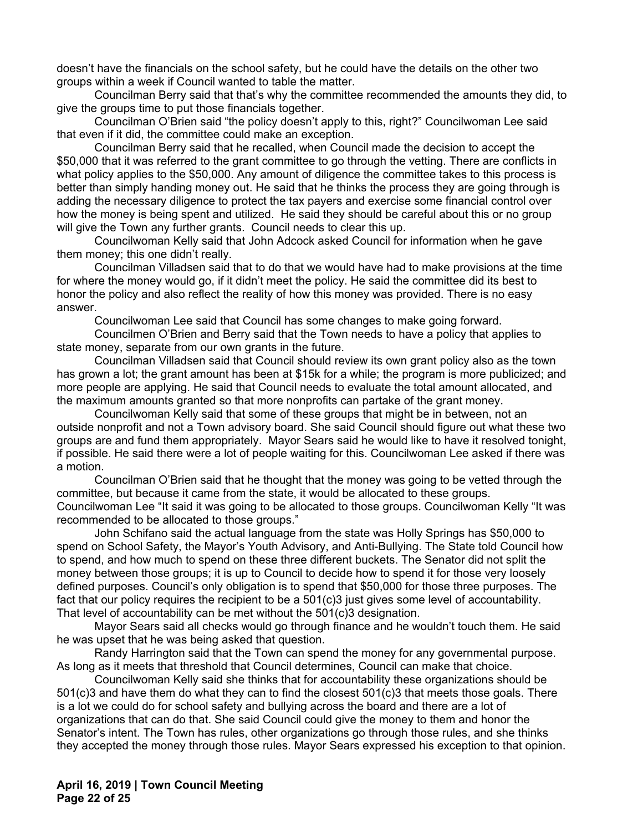doesn't have the financials on the school safety, but he could have the details on the other two groups within a week if Council wanted to table the matter.

Councilman Berry said that that's why the committee recommended the amounts they did, to give the groups time to put those financials together.

Councilman O'Brien said "the policy doesn't apply to this, right?" Councilwoman Lee said that even if it did, the committee could make an exception.

Councilman Berry said that he recalled, when Council made the decision to accept the \$50,000 that it was referred to the grant committee to go through the vetting. There are conflicts in what policy applies to the \$50,000. Any amount of diligence the committee takes to this process is better than simply handing money out. He said that he thinks the process they are going through is adding the necessary diligence to protect the tax payers and exercise some financial control over how the money is being spent and utilized. He said they should be careful about this or no group will give the Town any further grants. Council needs to clear this up.

Councilwoman Kelly said that John Adcock asked Council for information when he gave them money; this one didn't really.

Councilman Villadsen said that to do that we would have had to make provisions at the time for where the money would go, if it didn't meet the policy. He said the committee did its best to honor the policy and also reflect the reality of how this money was provided. There is no easy answer.

Councilwoman Lee said that Council has some changes to make going forward.

Councilmen O'Brien and Berry said that the Town needs to have a policy that applies to state money, separate from our own grants in the future.

Councilman Villadsen said that Council should review its own grant policy also as the town has grown a lot; the grant amount has been at \$15k for a while; the program is more publicized; and more people are applying. He said that Council needs to evaluate the total amount allocated, and the maximum amounts granted so that more nonprofits can partake of the grant money.

Councilwoman Kelly said that some of these groups that might be in between, not an outside nonprofit and not a Town advisory board. She said Council should figure out what these two groups are and fund them appropriately. Mayor Sears said he would like to have it resolved tonight, if possible. He said there were a lot of people waiting for this. Councilwoman Lee asked if there was a motion.

Councilman O'Brien said that he thought that the money was going to be vetted through the committee, but because it came from the state, it would be allocated to these groups. Councilwoman Lee "It said it was going to be allocated to those groups. Councilwoman Kelly "It was recommended to be allocated to those groups."

John Schifano said the actual language from the state was Holly Springs has \$50,000 to spend on School Safety, the Mayor's Youth Advisory, and Anti-Bullying. The State told Council how to spend, and how much to spend on these three different buckets. The Senator did not split the money between those groups; it is up to Council to decide how to spend it for those very loosely defined purposes. Council's only obligation is to spend that \$50,000 for those three purposes. The fact that our policy requires the recipient to be a 501(c)3 just gives some level of accountability. That level of accountability can be met without the 501(c)3 designation.

Mayor Sears said all checks would go through finance and he wouldn't touch them. He said he was upset that he was being asked that question.

Randy Harrington said that the Town can spend the money for any governmental purpose. As long as it meets that threshold that Council determines, Council can make that choice.

Councilwoman Kelly said she thinks that for accountability these organizations should be 501(c)3 and have them do what they can to find the closest 501(c)3 that meets those goals. There is a lot we could do for school safety and bullying across the board and there are a lot of organizations that can do that. She said Council could give the money to them and honor the Senator's intent. The Town has rules, other organizations go through those rules, and she thinks they accepted the money through those rules. Mayor Sears expressed his exception to that opinion.

**April 16, 2019 | Town Council Meeting Page 22 of 25**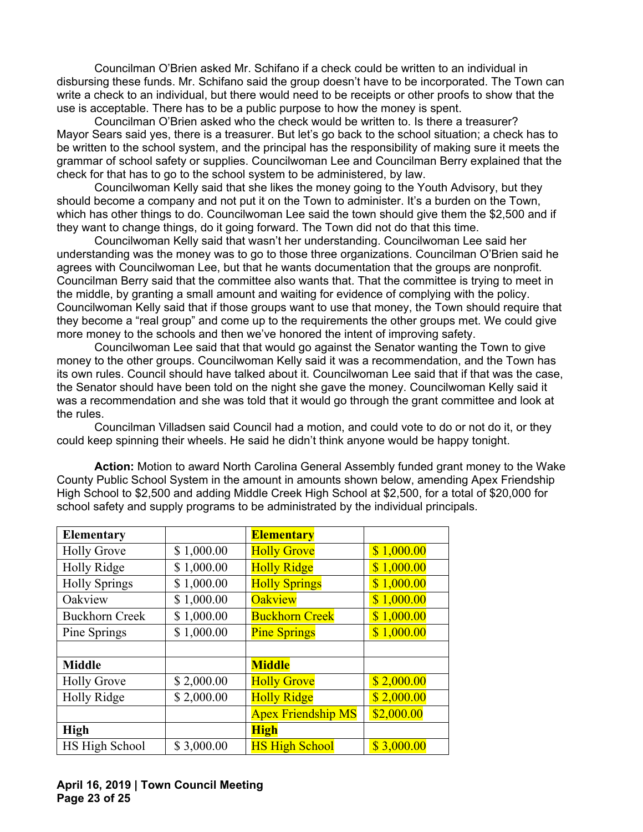Councilman O'Brien asked Mr. Schifano if a check could be written to an individual in disbursing these funds. Mr. Schifano said the group doesn't have to be incorporated. The Town can write a check to an individual, but there would need to be receipts or other proofs to show that the use is acceptable. There has to be a public purpose to how the money is spent.

Councilman O'Brien asked who the check would be written to. Is there a treasurer? Mayor Sears said yes, there is a treasurer. But let's go back to the school situation; a check has to be written to the school system, and the principal has the responsibility of making sure it meets the grammar of school safety or supplies. Councilwoman Lee and Councilman Berry explained that the check for that has to go to the school system to be administered, by law.

Councilwoman Kelly said that she likes the money going to the Youth Advisory, but they should become a company and not put it on the Town to administer. It's a burden on the Town, which has other things to do. Councilwoman Lee said the town should give them the \$2,500 and if they want to change things, do it going forward. The Town did not do that this time.

Councilwoman Kelly said that wasn't her understanding. Councilwoman Lee said her understanding was the money was to go to those three organizations. Councilman O'Brien said he agrees with Councilwoman Lee, but that he wants documentation that the groups are nonprofit. Councilman Berry said that the committee also wants that. That the committee is trying to meet in the middle, by granting a small amount and waiting for evidence of complying with the policy. Councilwoman Kelly said that if those groups want to use that money, the Town should require that they become a "real group" and come up to the requirements the other groups met. We could give more money to the schools and then we've honored the intent of improving safety.

Councilwoman Lee said that that would go against the Senator wanting the Town to give money to the other groups. Councilwoman Kelly said it was a recommendation, and the Town has its own rules. Council should have talked about it. Councilwoman Lee said that if that was the case, the Senator should have been told on the night she gave the money. Councilwoman Kelly said it was a recommendation and she was told that it would go through the grant committee and look at the rules.

Councilman Villadsen said Council had a motion, and could vote to do or not do it, or they could keep spinning their wheels. He said he didn't think anyone would be happy tonight.

**Action:** Motion to award North Carolina General Assembly funded grant money to the Wake County Public School System in the amount in amounts shown below, amending Apex Friendship High School to \$2,500 and adding Middle Creek High School at \$2,500, for a total of \$20,000 for school safety and supply programs to be administrated by the individual principals.

| <b>Elementary</b>     |            | <b>Elementary</b>         |            |
|-----------------------|------------|---------------------------|------------|
| <b>Holly Grove</b>    | \$1,000.00 | <b>Holly Grove</b>        | \$1,000.00 |
| <b>Holly Ridge</b>    | \$1,000.00 | <b>Holly Ridge</b>        | \$1,000.00 |
| <b>Holly Springs</b>  | \$1,000.00 | <b>Holly Springs</b>      | \$1,000.00 |
| Oakview               | \$1,000.00 | <b>Oakview</b>            | \$1,000.00 |
| <b>Buckhorn Creek</b> | \$1,000.00 | <b>Buckhorn Creek</b>     | \$1,000.00 |
| Pine Springs          | \$1,000.00 | <b>Pine Springs</b>       | \$1,000.00 |
|                       |            |                           |            |
| <b>Middle</b>         |            | <b>Middle</b>             |            |
| <b>Holly Grove</b>    | \$2,000.00 | <b>Holly Grove</b>        | \$2,000.00 |
| Holly Ridge           | \$2,000.00 | <b>Holly Ridge</b>        | \$2,000.00 |
|                       |            | <b>Apex Friendship MS</b> | \$2,000.00 |
| <b>High</b>           |            | <b>High</b>               |            |
| HS High School        | \$3,000.00 | <b>HS High School</b>     | \$3,000.00 |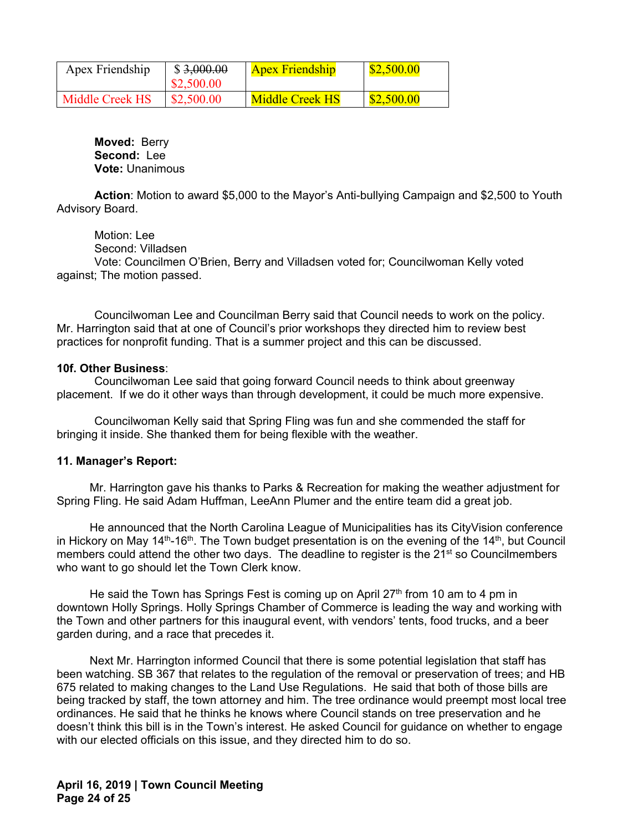| Apex Friendship | \$3,000.00<br>\$2,500.00 | <b>Apex Friendship</b> | \$2,500.00 |
|-----------------|--------------------------|------------------------|------------|
| Middle Creek HS | \$2,500.00               | Middle Creek HS        | \$2,500.00 |

**Moved:** Berry **Second:** Lee **Vote:** Unanimous

**Action**: Motion to award \$5,000 to the Mayor's Anti-bullying Campaign and \$2,500 to Youth Advisory Board.

 Motion: Lee Second: Villadsen Vote: Councilmen O'Brien, Berry and Villadsen voted for; Councilwoman Kelly voted against; The motion passed.

Councilwoman Lee and Councilman Berry said that Council needs to work on the policy. Mr. Harrington said that at one of Council's prior workshops they directed him to review best practices for nonprofit funding. That is a summer project and this can be discussed.

#### **10f. Other Business**:

Councilwoman Lee said that going forward Council needs to think about greenway placement. If we do it other ways than through development, it could be much more expensive.

Councilwoman Kelly said that Spring Fling was fun and she commended the staff for bringing it inside. She thanked them for being flexible with the weather.

#### **11. Manager's Report:**

 Mr. Harrington gave his thanks to Parks & Recreation for making the weather adjustment for Spring Fling. He said Adam Huffman, LeeAnn Plumer and the entire team did a great job.

 He announced that the North Carolina League of Municipalities has its CityVision conference in Hickory on May 14<sup>th</sup>-16<sup>th</sup>. The Town budget presentation is on the evening of the 14<sup>th</sup>, but Council members could attend the other two days. The deadline to register is the 21<sup>st</sup> so Councilmembers who want to go should let the Town Clerk know.

He said the Town has Springs Fest is coming up on April 27<sup>th</sup> from 10 am to 4 pm in downtown Holly Springs. Holly Springs Chamber of Commerce is leading the way and working with the Town and other partners for this inaugural event, with vendors' tents, food trucks, and a beer garden during, and a race that precedes it.

 Next Mr. Harrington informed Council that there is some potential legislation that staff has been watching. SB 367 that relates to the regulation of the removal or preservation of trees; and HB 675 related to making changes to the Land Use Regulations. He said that both of those bills are being tracked by staff, the town attorney and him. The tree ordinance would preempt most local tree ordinances. He said that he thinks he knows where Council stands on tree preservation and he doesn't think this bill is in the Town's interest. He asked Council for guidance on whether to engage with our elected officials on this issue, and they directed him to do so.